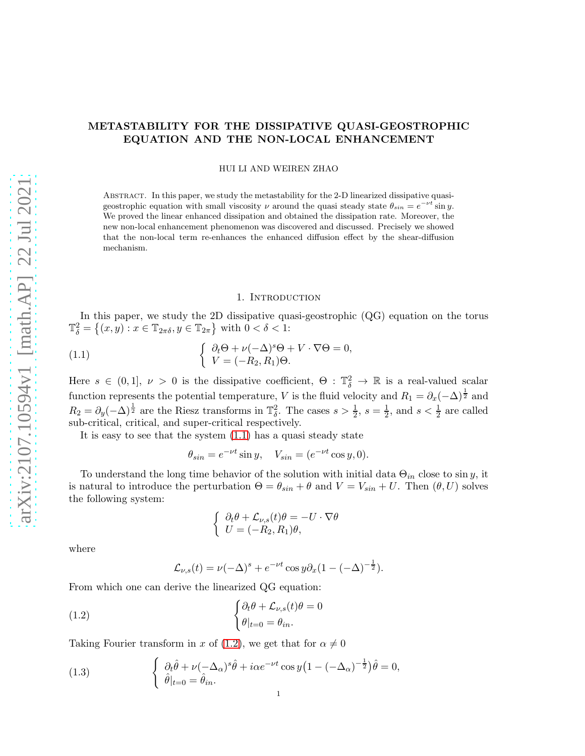# METASTABILITY FOR THE DISSIPATIVE QUASI-GEOSTROPHIC EQUATION AND THE NON-LOCAL ENHANCEMENT

HUI LI AND WEIREN ZHAO

Abstract. In this paper, we study the metastability for the 2-D linearized dissipative quasigeostrophic equation with small viscosity  $\nu$  around the quasi steady state  $\theta_{sin} = e^{-\nu t} \sin y$ . We proved the linear enhanced dissipation and obtained the dissipation rate. Moreover, the new non-local enhancement phenomenon was discovered and discussed. Precisely we showed that the non-local term re-enhances the enhanced diffusion effect by the shear-diffusion mechanism.

#### 1. INTRODUCTION

In this paper, we study the 2D dissipative quasi-geostrophic (QG) equation on the torus  $\mathbb{T}^2_{\delta} = \{(x, y) : x \in \mathbb{T}_{2\pi\delta}, y \in \mathbb{T}_{2\pi}\}\$  with  $0 < \delta < 1$ :

<span id="page-0-0"></span>(1.1) 
$$
\begin{cases} \partial_t \Theta + \nu (-\Delta)^s \Theta + V \cdot \nabla \Theta = 0, \\ V = (-R_2, R_1) \Theta. \end{cases}
$$

Here  $s \in (0,1], \nu > 0$  is the dissipative coefficient,  $\Theta : \mathbb{T}^2_\delta \to \mathbb{R}$  is a real-valued scalar function represents the potential temperature, V is the fluid velocity and  $R_1 = \partial_x(-\Delta)^{\frac{1}{2}}$  and  $R_2 = \partial_y(-\Delta)^{\frac{1}{2}}$  are the Riesz transforms in  $\mathbb{T}^2_\delta$ . The cases  $s > \frac{1}{2}$ ,  $s = \frac{1}{2}$  $\frac{1}{2}$ , and  $s < \frac{1}{2}$  are called sub-critical, critical, and super-critical respectively.

It is easy to see that the system [\(1.1\)](#page-0-0) has a quasi steady state

$$
\theta_{\sin} = e^{-\nu t} \sin y, \quad V_{\sin} = (e^{-\nu t} \cos y, 0).
$$

To understand the long time behavior of the solution with initial data  $\Theta_{in}$  close to sin y, it is natural to introduce the perturbation  $\Theta = \theta_{sin} + \theta$  and  $V = V_{sin} + U$ . Then  $(\theta, U)$  solves the following system:

$$
\begin{cases} \partial_t \theta + \mathcal{L}_{\nu,s}(t)\theta = -U \cdot \nabla \theta \\ U = (-R_2, R_1)\theta, \end{cases}
$$

where

$$
\mathcal{L}_{\nu,s}(t) = \nu(-\Delta)^s + e^{-\nu t} \cos y \partial_x (1 - (-\Delta)^{-\frac{1}{2}}).
$$

From which one can derive the linearized QG equation:

<span id="page-0-1"></span>(1.2) 
$$
\begin{cases} \partial_t \theta + \mathcal{L}_{\nu, s}(t) \theta = 0 \\ \theta |_{t=0} = \theta_{in}. \end{cases}
$$

Taking Fourier transform in x of [\(1.2\)](#page-0-1), we get that for  $\alpha \neq 0$ 

<span id="page-0-2"></span>(1.3) 
$$
\begin{cases} \partial_t \hat{\theta} + \nu (-\Delta_\alpha)^s \hat{\theta} + i\alpha e^{-\nu t} \cos y \left( 1 - (-\Delta_\alpha)^{-\frac{1}{2}} \right) \hat{\theta} = 0, \\ \hat{\theta}|_{t=0} = \hat{\theta}_{in}. \end{cases}
$$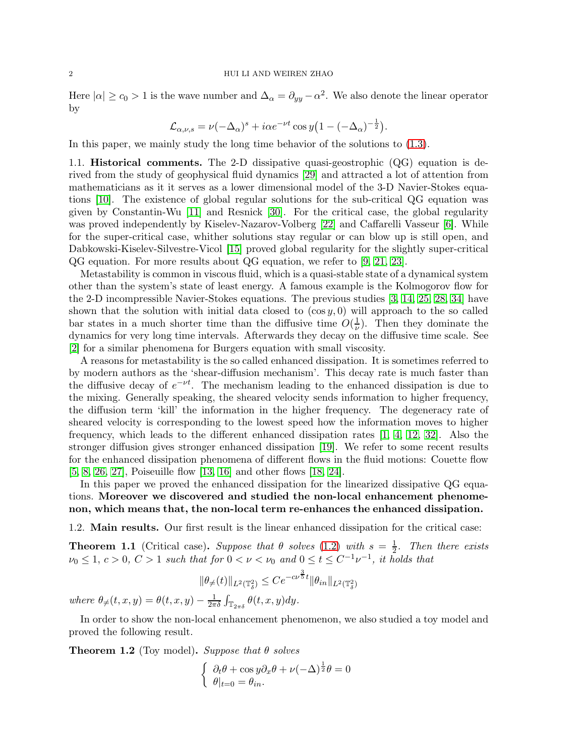Here  $|\alpha| \geq c_0 > 1$  is the wave number and  $\Delta_{\alpha} = \partial_{yy} - \alpha^2$ . We also denote the linear operator by

$$
\mathcal{L}_{\alpha,\nu,s} = \nu(-\Delta_{\alpha})^s + i\alpha e^{-\nu t} \cos y \left(1 - (-\Delta_{\alpha})^{-\frac{1}{2}}\right).
$$

In this paper, we mainly study the long time behavior of the solutions to [\(1.3\)](#page-0-2).

1.1. Historical comments. The 2-D dissipative quasi-geostrophic (QG) equation is derived from the study of geophysical fluid dynamics [\[29\]](#page-24-0) and attracted a lot of attention from mathematicians as it it serves as a lower dimensional model of the 3-D Navier-Stokes equations [\[10\]](#page-23-0). The existence of global regular solutions for the sub-critical QG equation was given by Constantin-Wu [\[11\]](#page-23-1) and Resnick [\[30\]](#page-24-1). For the critical case, the global regularity was proved independently by Kiselev-Nazarov-Volberg [\[22\]](#page-24-2) and Caffarelli Vasseur [\[6\]](#page-23-2). While for the super-critical case, whither solutions stay regular or can blow up is still open, and Dabkowski-Kiselev-Silvestre-Vicol [\[15\]](#page-23-3) proved global regularity for the slightly super-critical QG equation. For more results about QG equation, we refer to [\[9,](#page-23-4) [21,](#page-24-3) [23\]](#page-24-4).

Metastability is common in viscous fluid, which is a quasi-stable state of a dynamical system other than the system's state of least energy. A famous example is the Kolmogorov flow for the 2-D incompressible Navier-Stokes equations. The previous studies [\[3,](#page-23-5) [14,](#page-23-6) [25,](#page-24-5) [28,](#page-24-6) [34\]](#page-24-7) have shown that the solution with initial data closed to  $(\cos y, 0)$  will approach to the so called bar states in a much shorter time than the diffusive time  $O(\frac{1}{\nu})$  $(\frac{1}{\nu})$ . Then they dominate the dynamics for very long time intervals. Afterwards they decay on the diffusive time scale. See [\[2\]](#page-23-7) for a similar phenomena for Burgers equation with small viscosity.

A reasons for metastability is the so called enhanced dissipation. It is sometimes referred to by modern authors as the 'shear-diffusion mechanism'. This decay rate is much faster than the diffusive decay of  $e^{-\nu t}$ . The mechanism leading to the enhanced dissipation is due to the mixing. Generally speaking, the sheared velocity sends information to higher frequency, the diffusion term 'kill' the information in the higher frequency. The degeneracy rate of sheared velocity is corresponding to the lowest speed how the information moves to higher frequency, which leads to the different enhanced dissipation rates [\[1,](#page-23-8) [4,](#page-23-9) [12,](#page-23-10) [32\]](#page-24-8). Also the stronger diffusion gives stronger enhanced dissipation [\[19\]](#page-23-11). We refer to some recent results for the enhanced dissipation phenomena of different flows in the fluid motions: Couette flow [\[5,](#page-23-12) [8,](#page-23-13) [26,](#page-24-9) [27\]](#page-24-10), Poiseuille flow [\[13,](#page-23-14) [16\]](#page-23-15) and other flows [\[18,](#page-23-16) [24\]](#page-24-11).

In this paper we proved the enhanced dissipation for the linearized dissipative QG equations. Moreover we discovered and studied the non-local enhancement phenomenon, which means that, the non-local term re-enhances the enhanced dissipation.

1.2. Main results. Our first result is the linear enhanced dissipation for the critical case:

<span id="page-1-0"></span>**Theorem 1.1** (Critical case). Suppose that  $\theta$  solves [\(1.2\)](#page-0-1) with  $s = \frac{1}{2}$  $\frac{1}{2}$ . Then there exists  $\nu_0 \leq 1, c > 0, C > 1$  such that for  $0 < \nu < \nu_0$  and  $0 \leq t \leq C^{-1} \nu^{-1}$ , it holds that

$$
\|\theta_{\neq}(t)\|_{L^2(\mathbb{T}^2_\delta)}\leq Ce^{-c\nu^{\frac{3}{5}}t}\|\theta_{in}\|_{L^2(\mathbb{T}^2_\delta)}
$$

where  $\theta_{\neq}(t,x,y) = \theta(t,x,y) - \frac{1}{2\pi}$  $\frac{1}{2\pi\delta}\int_{\mathbb{T}_{2\pi\delta}}\theta(t,x,y)dy.$ 

In order to show the non-local enhancement phenomenon, we also studied a toy model and proved the following result.

<span id="page-1-1"></span>**Theorem 1.2** (Toy model). Suppose that  $\theta$  solves

$$
\begin{cases} \partial_t \theta + \cos y \partial_x \theta + \nu (-\Delta)^{\frac{1}{2}} \theta = 0 \\ \theta |_{t=0} = \theta_{in}. \end{cases}
$$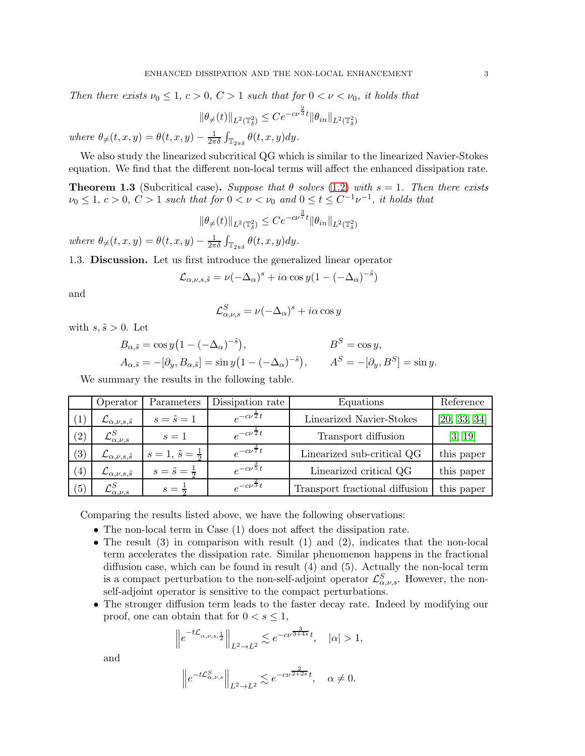Then there exists  $\nu_0 \leq 1, c > 0, C > 1$  such that for  $0 < \nu < \nu_0$ , it holds that

$$
\|\theta_{\neq}(t)\|_{L^2(\mathbb{T}^2_\delta)} \leq Ce^{-c\nu^{\frac{2}{3}}t} \|\theta_{in}\|_{L^2(\mathbb{T}^2_\delta)}
$$

where  $\theta_{\neq}(t,x,y) = \theta(t,x,y) - \frac{1}{2\pi}$  $\frac{1}{2\pi\delta}\int_{\mathbb{T}_{2\pi\delta}} \theta(t,x,y)dy.$ 

We also study the linearized subcritical QG which is similar to the linearized Navier-Stokes equation. We find that the different non-local terms will affect the enhanced dissipation rate.

<span id="page-2-0"></span>**Theorem 1.3** (Subcritical case). Suppose that  $\theta$  solves [\(1.2\)](#page-0-1) with  $s = 1$ . Then there exists  $\nu_0 \leq 1, c > 0, C > 1$  such that for  $0 < \nu < \nu_0$  and  $0 \leq t \leq C^{-1} \nu^{-1}$ , it holds that

$$
\|\theta_{\neq}(t)\|_{L^2(\mathbb{T}^2_\delta)} \leq Ce^{-c\nu^{\frac{3}{7}}t} \|\theta_{in}\|_{L^2(\mathbb{T}^2_\delta)}
$$

where  $\theta_{\neq}(t,x,y) = \theta(t,x,y) - \frac{1}{2\pi}$  $\frac{1}{2\pi\delta}\int_{\mathbb{T}_{2\pi\delta}}\theta(t,x,y)dy.$ 

1.3. Discussion. Let us first introduce the generalized linear operator

$$
\mathcal{L}_{\alpha,\nu,s,\tilde{s}} = \nu(-\Delta_{\alpha})^s + i\alpha \cos y (1 - (-\Delta_{\alpha})^{-\tilde{s}})
$$

and

$$
\mathcal{L}_{\alpha,\nu,s}^S = \nu(-\Delta_\alpha)^s + i\alpha \cos y
$$

with  $s, \tilde{s} > 0$ . Let

$$
B_{\alpha,\tilde{s}} = \cos y \left( 1 - (-\Delta_{\alpha})^{-\tilde{s}} \right), \qquad B^S = \cos y,
$$
  
\n
$$
A_{\alpha,\tilde{s}} = -[\partial_y, B_{\alpha,\tilde{s}}] = \sin y \left( 1 - (-\Delta_{\alpha})^{-\tilde{s}} \right), \qquad A^S = -[\partial_y, B^S] = \sin y.
$$

We summary the results in the following table.

|     | Operator                               | Parameters                      | Dissipation rate           | Equations                      | Reference    |
|-----|----------------------------------------|---------------------------------|----------------------------|--------------------------------|--------------|
| (1) | $\mathcal{L}_{\alpha,\nu,s,\tilde{s}}$ | $s=\tilde{s}=1$                 | $e^{-c\nu^2t}$             | Linearized Navier-Stokes       | [20, 33, 34] |
| (2) | $\mathcal{L}^{S}_{\alpha,\nu,s}$       | $s=1$                           | $e^{-c\nu\bar{2}t}$        | Transport diffusion            | [3, 19]      |
| (3) | $\mathcal{L}_{\alpha,\nu,s,\tilde{s}}$ | $s=1, \, \tilde{s}=\frac{1}{2}$ | $e^{-c\nu^{\frac{3}{7}}t}$ | Linearized sub-critical QG     | this paper   |
| (4) | $\mathcal{L}_{\alpha,\nu,s,\tilde{s}}$ | $s=\tilde{s}=\frac{1}{5}$       | $e^{-c\nu^{\frac{3}{5}}t}$ | Linearized critical QG         | this paper   |
| (5) | $\mathcal{L}_{\alpha,\nu,s}^S$         | $s = \frac{1}{2}$               | $e^{-c\nu^{\frac{2}{3}}t}$ | Transport fractional diffusion | this paper   |

Comparing the results listed above, we have the following observations:

- The non-local term in Case (1) does not affect the dissipation rate.
- The result  $(3)$  in comparison with result  $(1)$  and  $(2)$ , indicates that the non-local term accelerates the dissipation rate. Similar phenomenon happens in the fractional diffusion case, which can be found in result (4) and (5). Actually the non-local term is a compact perturbation to the non-self-adjoint operator  $\mathcal{L}^S_{\alpha,\nu,s}$ . However, the nonself-adjoint operator is sensitive to the compact perturbations.
- The stronger diffusion term leads to the faster decay rate. Indeed by modifying our proof, one can obtain that for  $0 < s \leq 1$ ,

$$
\left\|e^{-t\mathcal{L}_{\alpha,\nu,s,\frac{1}{2}}}\right\|_{L^2\to L^2}\lesssim e^{-c\nu^{\frac{3}{3+4s}}t},\quad |\alpha|>1,
$$

and

$$
\left\|e^{-t\mathcal{L}_{\alpha,\nu,s}^S}\right\|_{L^2\to L^2}\lesssim e^{-c\nu^{\frac{2}{2+2s}}t},\quad\alpha\neq 0.
$$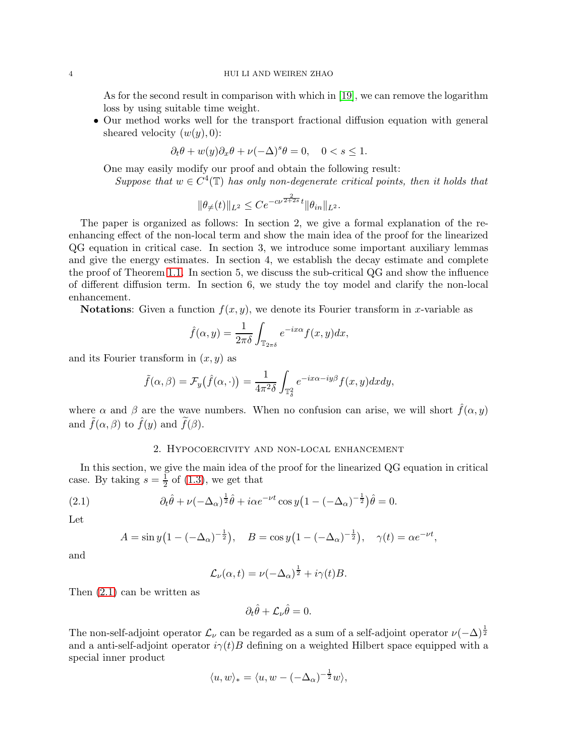As for the second result in comparison with which in [\[19\]](#page-23-11), we can remove the logarithm loss by using suitable time weight.

• Our method works well for the transport fractional diffusion equation with general sheared velocity  $(w(y), 0)$ :

$$
\partial_t \theta + w(y) \partial_x \theta + \nu (-\Delta)^s \theta = 0, \quad 0 < s \le 1.
$$

One may easily modify our proof and obtain the following result:

Suppose that  $w \in C^4(\mathbb{T})$  has only non-degenerate critical points, then it holds that

$$
\|\theta_{\ne}(t)\|_{L^2}\leq Ce^{-c\nu^{\frac{2}{2+2s}}t}\|\theta_{in}\|_{L^2}.
$$

The paper is organized as follows: In section 2, we give a formal explanation of the reenhancing effect of the non-local term and show the main idea of the proof for the linearized QG equation in critical case. In section 3, we introduce some important auxiliary lemmas and give the energy estimates. In section 4, we establish the decay estimate and complete the proof of Theorem [1.1.](#page-1-0) In section 5, we discuss the sub-critical QG and show the influence of different diffusion term. In section 6, we study the toy model and clarify the non-local enhancement.

**Notations:** Given a function  $f(x, y)$ , we denote its Fourier transform in x-variable as

$$
\hat{f}(\alpha, y) = \frac{1}{2\pi\delta} \int_{\mathbb{T}_{2\pi\delta}} e^{-ix\alpha} f(x, y) dx,
$$

and its Fourier transform in  $(x, y)$  as

$$
\tilde{f}(\alpha,\beta) = \mathcal{F}_y(\hat{f}(\alpha,\cdot)) = \frac{1}{4\pi^2\delta} \int_{\mathbb{T}_\delta^2} e^{-ix\alpha - iy\beta} f(x,y) dx dy,
$$

where  $\alpha$  and  $\beta$  are the wave numbers. When no confusion can arise, we will short  $\hat{f}(\alpha, y)$ and  $\tilde{f}(\alpha, \beta)$  to  $\hat{f}(y)$  and  $\tilde{f}(\beta)$ .

## 2. Hypocoercivity and non-local enhancement

In this section, we give the main idea of the proof for the linearized QG equation in critical case. By taking  $s = \frac{1}{2}$  of [\(1.3\)](#page-0-2), we get that

<span id="page-3-0"></span>(2.1) 
$$
\partial_t \hat{\theta} + \nu(-\Delta_\alpha)^{\frac{1}{2}} \hat{\theta} + i\alpha e^{-\nu t} \cos y \left(1 - (-\Delta_\alpha)^{-\frac{1}{2}}\right) \hat{\theta} = 0.
$$

Let

$$
A = \sin y \left( 1 - (-\Delta_{\alpha})^{-\frac{1}{2}} \right), \quad B = \cos y \left( 1 - (-\Delta_{\alpha})^{-\frac{1}{2}} \right), \quad \gamma(t) = \alpha e^{-\nu t},
$$

and

$$
\mathcal{L}_{\nu}(\alpha, t) = \nu(-\Delta_{\alpha})^{\frac{1}{2}} + i\gamma(t)B.
$$

Then [\(2.1\)](#page-3-0) can be written as

$$
\partial_t \hat{\theta} + \mathcal{L}_{\nu} \hat{\theta} = 0.
$$

The non-self-adjoint operator  $\mathcal{L}_{\nu}$  can be regarded as a sum of a self-adjoint operator  $\nu(-\Delta)^{\frac{1}{2}}$ and a anti-self-adjoint operator  $i\gamma(t)B$  defining on a weighted Hilbert space equipped with a special inner product

$$
\langle u, w \rangle_* = \langle u, w - (-\Delta_\alpha)^{-\frac{1}{2}} w \rangle,
$$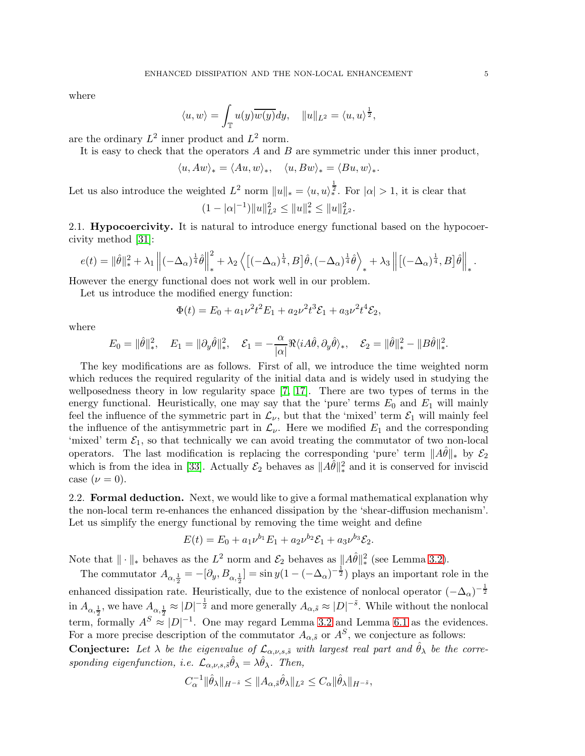where

$$
\langle u, w \rangle = \int_{\mathbb{T}} u(y) \overline{w(y)} dy, \quad ||u||_{L^2} = \langle u, u \rangle^{\frac{1}{2}},
$$

are the ordinary  $L^2$  inner product and  $L^2$  norm.

It is easy to check that the operators  $A$  and  $B$  are symmetric under this inner product,

$$
\langle u, Aw \rangle_* = \langle Au, w \rangle_*, \quad \langle u, Bw \rangle_* = \langle Bu, w \rangle_*.
$$

Let us also introduce the weighted  $L^2$  norm  $||u||_* = \langle u, u \rangle_*^{\frac{1}{2}}$ . For  $|\alpha| > 1$ , it is clear that

$$
(1-|\alpha|^{-1})||u||_{L^2}^2 \le ||u||_*^2 \le ||u||_{L^2}^2.
$$

2.1. **Hypocoercivity.** It is natural to introduce energy functional based on the hypocoercivity method [\[31\]](#page-24-14):

$$
e(t) = \|\hat{\theta}\|_{*}^{2} + \lambda_{1} \left\| (-\Delta_{\alpha})^{\frac{1}{4}} \hat{\theta} \right\|_{*}^{2} + \lambda_{2} \left\langle \left[ (-\Delta_{\alpha})^{\frac{1}{4}}, B \right] \hat{\theta}, (-\Delta_{\alpha})^{\frac{1}{4}} \hat{\theta} \right\rangle_{*} + \lambda_{3} \left\| \left[ (-\Delta_{\alpha})^{\frac{1}{4}}, B \right] \hat{\theta} \right\|_{*}.
$$

However the energy functional does not work well in our problem.

Let us introduce the modified energy function:

$$
\Phi(t) = E_0 + a_1 \nu^2 t^2 E_1 + a_2 \nu^2 t^3 \mathcal{E}_1 + a_3 \nu^2 t^4 \mathcal{E}_2,
$$

where

$$
E_0 = \|\hat{\theta}\|_*^2, \quad E_1 = \|\partial_y \hat{\theta}\|_*^2, \quad \mathcal{E}_1 = -\frac{\alpha}{|\alpha|} \Re \langle i A\hat{\theta}, \partial_y \hat{\theta} \rangle_*, \quad \mathcal{E}_2 = \|\hat{\theta}\|_*^2 - \|B\hat{\theta}\|_*^2.
$$

The key modifications are as follows. First of all, we introduce the time weighted norm which reduces the required regularity of the initial data and is widely used in studying the wellposedness theory in low regularity space [\[7,](#page-23-17) [17\]](#page-23-18). There are two types of terms in the energy functional. Heuristically, one may say that the 'pure' terms  $E_0$  and  $E_1$  will mainly feel the influence of the symmetric part in  $\mathcal{L}_{\nu}$ , but that the 'mixed' term  $\mathcal{E}_1$  will mainly feel the influence of the antisymmetric part in  $\mathcal{L}_{\nu}$ . Here we modified  $E_1$  and the corresponding 'mixed' term  $\mathcal{E}_1$ , so that technically we can avoid treating the commutator of two non-local operators. The last modification is replacing the corresponding 'pure' term  $||A\theta||_*$  by  $\mathcal{E}_2$ which is from the idea in [\[33\]](#page-24-13). Actually  $\mathcal{E}_2$  behaves as  $||A\hat{\theta}||_*^2$  and it is conserved for inviscid case  $(\nu = 0)$ .

2.2. Formal deduction. Next, we would like to give a formal mathematical explanation why the non-local term re-enhances the enhanced dissipation by the 'shear-diffusion mechanism'. Let us simplify the energy functional by removing the time weight and define

$$
E(t) = E_0 + a_1 \nu^{b_1} E_1 + a_2 \nu^{b_2} \mathcal{E}_1 + a_3 \nu^{b_3} \mathcal{E}_2.
$$

Note that  $\|\cdot\|_*$  behaves as the  $L^2$  norm and  $\mathcal{E}_2$  behaves as  $\|A\hat{\theta}\|_*^2$  (see Lemma [3.2\)](#page-6-0).

The commutator  $A_{\alpha,\frac{1}{2}} = -[\partial_y, B_{\alpha,\frac{1}{2}}] = \sin y(1 - (-\Delta_\alpha)^{-\frac{1}{2}})$  plays an important role in the enhanced dissipation rate. Heuristically, due to the existence of nonlocal operator  $(-\Delta_{\alpha})^{-\frac{1}{2}}$ in  $A_{\alpha,\frac{1}{2}}$ , we have  $A_{\alpha,\frac{1}{2}} \approx |D|^{-\frac{1}{2}}$  and more generally  $A_{\alpha,\tilde{s}} \approx |D|^{-\tilde{s}}$ . While without the nonlocal term, formally  $A^S \approx |D|^{-1}$ . One may regard Lemma [3.2](#page-6-0) and Lemma [6.1](#page-20-0) as the evidences. For a more precise description of the commutator  $A_{\alpha,\tilde{s}}$  or  $A^S$ , we conjecture as follows: **Conjecture:** Let  $\lambda$  be the eigenvalue of  $\mathcal{L}_{\alpha,\nu,s,\tilde{s}}$  with largest real part and  $\hat{\theta}_{\lambda}$  be the corresponding eigenfunction, i.e.  $\mathcal{L}_{\alpha,\nu,s,\tilde{s}}\hat{\theta}_{\lambda} = \lambda \hat{\theta}_{\lambda}$ . Then,

$$
C_{\alpha}^{-1} \|\hat{\theta}_{\lambda}\|_{H^{-\tilde{s}}} \leq \|A_{\alpha,\tilde{s}}\hat{\theta}_{\lambda}\|_{L^2} \leq C_{\alpha} \|\hat{\theta}_{\lambda}\|_{H^{-\tilde{s}}},
$$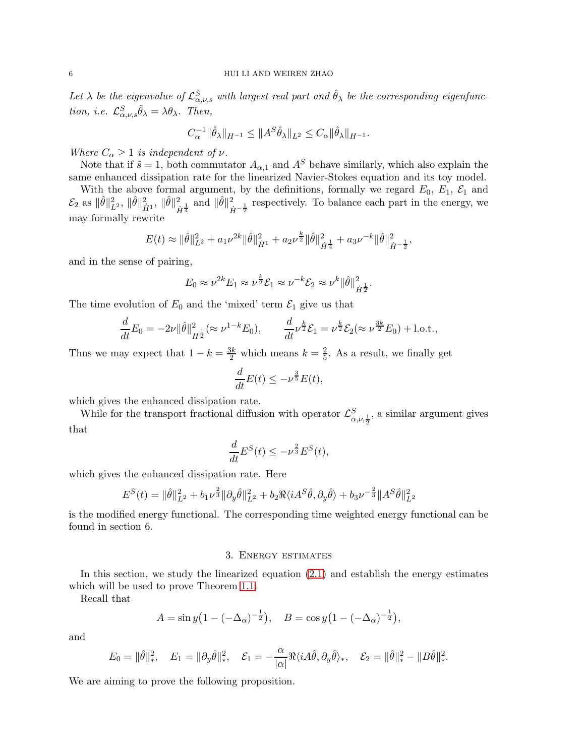Let  $\lambda$  be the eigenvalue of  $\mathcal{L}^S_{\alpha,\nu,s}$  with largest real part and  $\hat{\theta}_{\lambda}$  be the corresponding eigenfunction, i.e.  $\mathcal{L}_{\alpha,\nu,s}^S \hat{\theta}_\lambda = \lambda \theta_\lambda$ . Then,

$$
C_{\alpha}^{-1} \|\hat{\theta}_{\lambda}\|_{H^{-1}} \le \|A^{S} \hat{\theta}_{\lambda}\|_{L^{2}} \le C_{\alpha} \|\hat{\theta}_{\lambda}\|_{H^{-1}}.
$$

Where  $C_{\alpha} \geq 1$  is independent of  $\nu$ .

Note that if  $\tilde{s} = 1$ , both commutator  $A_{\alpha,1}$  and  $A^S$  behave similarly, which also explain the same enhanced dissipation rate for the linearized Navier-Stokes equation and its toy model.

With the above formal argument, by the definitions, formally we regard  $E_0$ ,  $E_1$ ,  $\mathcal{E}_1$  and  $\mathcal{E}_2$  as  $\|\hat{\theta}\|_{L^2}^2$ ,  $\|\hat{\theta}\|_{\dot{H}^1}^2$ ,  $\|\hat{\theta}\|_{\dot{F}}^2$  $\frac{2}{\dot{H}}\frac{1}{4}$  and  $\|\hat{\theta}\|_{\dot{H}^{-\frac{1}{2}}}^{2}$  respectively. To balance each part in the energy, we may formally rewrite

$$
E(t) \approx \|\hat{\theta}\|_{L^2}^2 + a_1 \nu^{2k} \|\hat{\theta}\|_{\dot{H}^1}^2 + a_2 \nu^{\frac{k}{2}} \|\hat{\theta}\|_{\dot{H}^{\frac{1}{4}}}^2 + a_3 \nu^{-k} \|\hat{\theta}\|_{\dot{H}^{-\frac{1}{2}}}^2,
$$

and in the sense of pairing,

$$
E_0 \approx \nu^{2k} E_1 \approx \nu^{\frac{k}{2}} \mathcal{E}_1 \approx \nu^{-k} \mathcal{E}_2 \approx \nu^{k} ||\hat{\theta}||_{\dot{H}^{\frac{1}{2}}}^2.
$$

The time evolution of  $E_0$  and the 'mixed' term  $\mathcal{E}_1$  give us that

$$
\frac{d}{dt}E_0 = -2\nu \|\hat{\theta}\|_{H^{\frac{1}{2}}}^2 (\approx \nu^{1-k} E_0), \qquad \frac{d}{dt} \nu^{\frac{k}{2}} \mathcal{E}_1 = \nu^{\frac{k}{2}} \mathcal{E}_2 (\approx \nu^{\frac{3k}{2}} E_0) + \text{l.o.t.},
$$

Thus we may expect that  $1 - k = \frac{3k}{2}$  which means  $k = \frac{2}{5}$  $\frac{2}{5}$ . As a result, we finally get

$$
\frac{d}{dt}E(t) \le -\nu^{\frac{3}{5}}E(t),
$$

which gives the enhanced dissipation rate.

While for the transport fractional diffusion with operator  $\mathcal{L}^S_{\alpha,\nu,\frac{1}{2}}$ , a similar argument gives that

$$
\frac{d}{dt}E^S(t) \le -\nu^{\frac{2}{3}}E^S(t),
$$

which gives the enhanced dissipation rate. Here

$$
E^{S}(t) = \|\hat{\theta}\|_{L^{2}}^{2} + b_{1}\nu^{\frac{2}{3}}\|\partial_{y}\hat{\theta}\|_{L^{2}}^{2} + b_{2}\Re\langle iA^{S}\hat{\theta}, \partial_{y}\hat{\theta}\rangle + b_{3}\nu^{-\frac{2}{3}}\|A^{S}\hat{\theta}\|_{L^{2}}^{2}
$$

is the modified energy functional. The corresponding time weighted energy functional can be found in section 6.

### 3. Energy estimates

In this section, we study the linearized equation [\(2.1\)](#page-3-0) and establish the energy estimates which will be used to prove Theorem [1.1.](#page-1-0)

Recall that

$$
A = \sin y \left( 1 - (-\Delta_{\alpha})^{-\frac{1}{2}} \right), \quad B = \cos y \left( 1 - (-\Delta_{\alpha})^{-\frac{1}{2}} \right),
$$

and

$$
E_0 = \|\hat{\theta}\|_*^2, \quad E_1 = \|\partial_y \hat{\theta}\|_*^2, \quad \mathcal{E}_1 = -\frac{\alpha}{|\alpha|} \Re \langle i A\hat{\theta}, \partial_y \hat{\theta} \rangle_*, \quad \mathcal{E}_2 = \|\hat{\theta}\|_*^2 - \|B\hat{\theta}\|_*^2.
$$

We are aiming to prove the following proposition.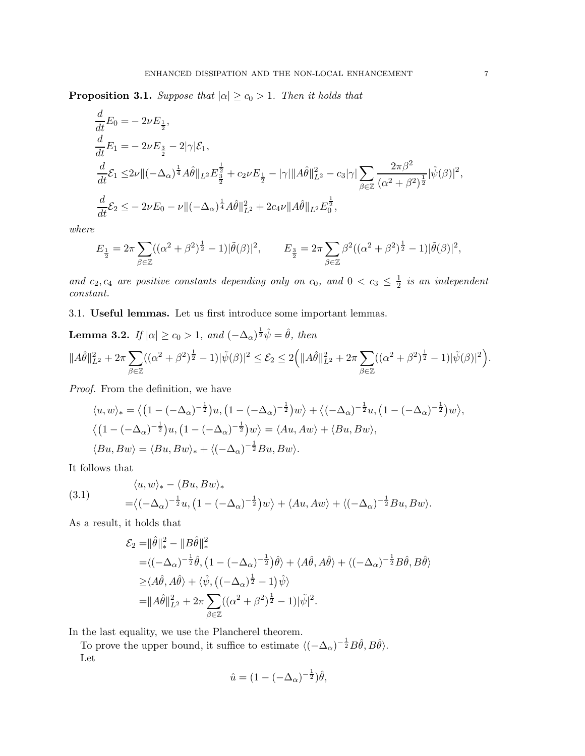<span id="page-6-1"></span>**Proposition 3.1.** Suppose that  $|\alpha| \geq c_0 > 1$ . Then it holds that

$$
\begin{split}\n\frac{d}{dt}E_{0} &= -2\nu E_{\frac{1}{2}}, \\
\frac{d}{dt}E_{1} &= -2\nu E_{\frac{3}{2}} - 2|\gamma|\mathcal{E}_{1}, \\
\frac{d}{dt}\mathcal{E}_{1} &\leq &2\nu \Vert (-\Delta_{\alpha})^{\frac{1}{4}} A\hat{\theta} \Vert_{L^{2}} E_{\frac{3}{2}}^{\frac{1}{2}} + c_{2}\nu E_{\frac{1}{2}} - |\gamma| \Vert A\hat{\theta} \Vert_{L^{2}}^{2} - c_{3}|\gamma| \sum_{\beta \in \mathbb{Z}} \frac{2\pi\beta^{2}}{(\alpha^{2} + \beta^{2})^{\frac{1}{2}}} |\tilde{\psi}(\beta)|^{2}, \\
\frac{d}{dt}\mathcal{E}_{2} &\leq -2\nu E_{0} - \nu \Vert (-\Delta_{\alpha})^{\frac{1}{4}} A\hat{\theta} \Vert_{L^{2}}^{2} + 2c_{4}\nu \Vert A\hat{\theta} \Vert_{L^{2}} E_{0}^{\frac{1}{2}},\n\end{split}
$$

where

$$
E_{\frac{1}{2}} = 2\pi \sum_{\beta \in \mathbb{Z}} ((\alpha^2 + \beta^2)^{\frac{1}{2}} - 1)|\tilde{\theta}(\beta)|^2, \qquad E_{\frac{3}{2}} = 2\pi \sum_{\beta \in \mathbb{Z}} \beta^2 ((\alpha^2 + \beta^2)^{\frac{1}{2}} - 1)|\tilde{\theta}(\beta)|^2,
$$

and  $c_2, c_4$  are positive constants depending only on  $c_0$ , and  $0 < c_3 \leq \frac{1}{2}$  $rac{1}{2}$  is an independent constant.

3.1. Useful lemmas. Let us first introduce some important lemmas.

<span id="page-6-0"></span>**Lemma 3.2.** If 
$$
|\alpha| \ge c_0 > 1
$$
, and  $(-\Delta_{\alpha})^{\frac{1}{2}} \hat{\psi} = \hat{\theta}$ , then  

$$
||A\hat{\theta}||_{L^2}^2 + 2\pi \sum_{\beta \in \mathbb{Z}} ((\alpha^2 + \beta^2)^{\frac{1}{2}} - 1) |\tilde{\psi}(\beta)|^2 \le \mathcal{E}_2 \le 2 \Big( ||A\hat{\theta}||_{L^2}^2 + 2\pi \sum_{\beta \in \mathbb{Z}} ((\alpha^2 + \beta^2)^{\frac{1}{2}} - 1) |\tilde{\psi}(\beta)|^2 \Big).
$$

Proof. From the definition, we have

$$
\langle u, w \rangle_* = \langle \left(1 - (-\Delta_\alpha)^{-\frac{1}{2}}\right)u, \left(1 - (-\Delta_\alpha)^{-\frac{1}{2}}\right)w \rangle + \langle (-\Delta_\alpha)^{-\frac{1}{2}}u, \left(1 - (-\Delta_\alpha)^{-\frac{1}{2}}\right)w \rangle,
$$
  

$$
\langle \left(1 - (-\Delta_\alpha)^{-\frac{1}{2}}\right)u, \left(1 - (-\Delta_\alpha)^{-\frac{1}{2}}\right)w \rangle = \langle Au, Aw \rangle + \langle Bu, Bw \rangle,
$$
  

$$
\langle Bu, Bw \rangle = \langle Bu, Bw \rangle_* + \langle (-\Delta_\alpha)^{-\frac{1}{2}}Bu, Bw \rangle.
$$

It follows that

<span id="page-6-2"></span>(3.1) 
$$
\langle u, w \rangle_{*} - \langle Bu, Bw \rangle_{*} = \langle (-\Delta_{\alpha})^{-\frac{1}{2}} u, (1 - (-\Delta_{\alpha})^{-\frac{1}{2}})w \rangle + \langle Au, Aw \rangle + \langle (-\Delta_{\alpha})^{-\frac{1}{2}}Bu, Bw \rangle.
$$

As a result, it holds that

$$
\mathcal{E}_2 = ||\hat{\theta}||_*^2 - ||B\hat{\theta}||_*^2
$$
  
= $\langle (-\Delta_{\alpha})^{-\frac{1}{2}} \hat{\theta}, (1 - (-\Delta_{\alpha})^{-\frac{1}{2}}) \hat{\theta} \rangle + \langle A\hat{\theta}, A\hat{\theta} \rangle + \langle (-\Delta_{\alpha})^{-\frac{1}{2}} B\hat{\theta}, B\hat{\theta} \rangle$   
 $\geq \langle A\hat{\theta}, A\hat{\theta} \rangle + \langle \hat{\psi}, ((-\Delta_{\alpha})^{\frac{1}{2}} - 1) \hat{\psi} \rangle$   
= $||A\hat{\theta}||_{L^2}^2 + 2\pi \sum_{\beta \in \mathbb{Z}} ((\alpha^2 + \beta^2)^{\frac{1}{2}} - 1) |\tilde{\psi}|^2.$ 

In the last equality, we use the Plancherel theorem.

To prove the upper bound, it suffice to estimate  $\langle (-\Delta_{\alpha})^{-\frac{1}{2}} B\hat{\theta}, B\hat{\theta} \rangle$ . Let

$$
\hat{u} = (1 - (-\Delta_{\alpha})^{-\frac{1}{2}})\hat{\theta},
$$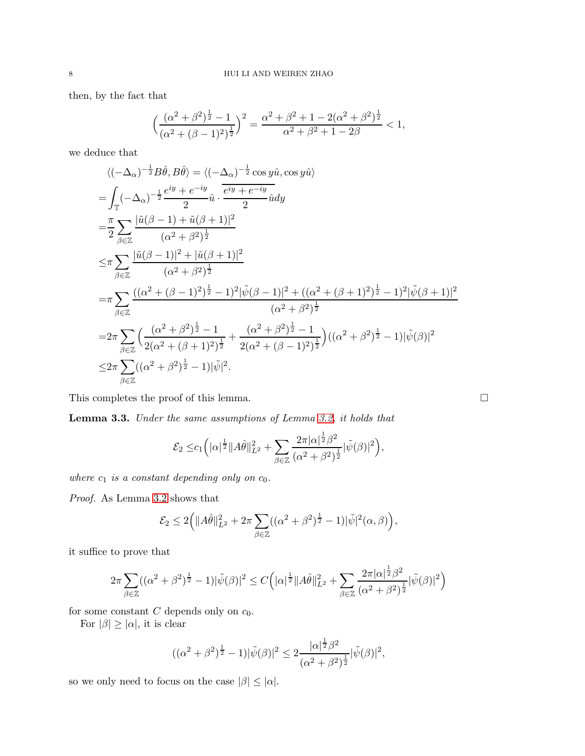then, by the fact that

$$
\left(\frac{(\alpha^2 + \beta^2)^{\frac{1}{2}} - 1}{(\alpha^2 + (\beta - 1)^2)^{\frac{1}{2}}}\right)^2 = \frac{\alpha^2 + \beta^2 + 1 - 2(\alpha^2 + \beta^2)^{\frac{1}{2}}}{\alpha^2 + \beta^2 + 1 - 2\beta} < 1,
$$

we deduce that

$$
\langle (-\Delta_{\alpha})^{-\frac{1}{2}} B\hat{\theta}, B\hat{\theta} \rangle = \langle (-\Delta_{\alpha})^{-\frac{1}{2}} \cos y \hat{u}, \cos y \hat{u} \rangle
$$
  
\n
$$
= \int_{\mathbb{T}} (-\Delta_{\alpha})^{-\frac{1}{2}} \frac{e^{iy} + e^{-iy}}{2} \hat{u} \cdot \frac{e^{iy} + e^{-iy}}{2} \hat{u} dy
$$
  
\n
$$
= \frac{\pi}{2} \sum_{\beta \in \mathbb{Z}} \frac{|\tilde{u}(\beta - 1) + \tilde{u}(\beta + 1)|^2}{(\alpha^2 + \beta^2)^{\frac{1}{2}}}
$$
  
\n
$$
\leq \pi \sum_{\beta \in \mathbb{Z}} \frac{|\tilde{u}(\beta - 1)|^2 + |\tilde{u}(\beta + 1)|^2}{(\alpha^2 + \beta^2)^{\frac{1}{2}}}
$$
  
\n
$$
= \pi \sum_{\beta \in \mathbb{Z}} \frac{((\alpha^2 + (\beta - 1)^2)^{\frac{1}{2}} - 1)^2 |\tilde{\psi}(\beta - 1)|^2 + ((\alpha^2 + (\beta + 1)^2)^{\frac{1}{2}} - 1)^2 |\tilde{\psi}(\beta + 1)|^2}{(\alpha^2 + \beta^2)^{\frac{1}{2}}}
$$
  
\n
$$
= 2\pi \sum_{\beta \in \mathbb{Z}} \left( \frac{(\alpha^2 + \beta^2)^{\frac{1}{2}} - 1}{2(\alpha^2 + (\beta + 1)^2)^{\frac{1}{2}}} + \frac{(\alpha^2 + \beta^2)^{\frac{1}{2}} - 1}{2(\alpha^2 + (\beta - 1)^2)^{\frac{1}{2}}} \right) ((\alpha^2 + \beta^2)^{\frac{1}{2}} - 1)|\tilde{\psi}(\beta)|^2
$$
  
\n
$$
\leq 2\pi \sum_{\beta \in \mathbb{Z}} ((\alpha^2 + \beta^2)^{\frac{1}{2}} - 1)|\tilde{\psi}|^2.
$$

This completes the proof of this lemma.  $\hfill \Box$ 

<span id="page-7-0"></span>Lemma 3.3. Under the same assumptions of Lemma [3.2,](#page-6-0) it holds that

$$
\mathcal{E}_2 \leq c_1 \Big( |\alpha|^{\frac{1}{2}} \|\hat{A}\hat{\theta}\|_{L^2}^2 + \sum_{\beta \in \mathbb{Z}} \frac{2\pi |\alpha|^{\frac{1}{2}} \beta^2}{(\alpha^2 + \beta^2)^{\frac{1}{2}}} |\tilde{\psi}(\beta)|^2 \Big),
$$

1

1

where  $c_1$  is a constant depending only on  $c_0$ .

Proof. As Lemma [3.2](#page-6-0) shows that

$$
\mathcal{E}_2 \le 2(|A\hat{\theta}||_{L^2}^2 + 2\pi \sum_{\beta \in \mathbb{Z}} ((\alpha^2 + \beta^2)^{\frac{1}{2}} - 1)|\tilde{\psi}|^2(\alpha, \beta)),
$$

it suffice to prove that

$$
2\pi \sum_{\beta \in \mathbb{Z}} \left( (\alpha^2 + \beta^2)^{\frac{1}{2}} - 1 \right) |\tilde{\psi}(\beta)|^2 \le C \left( |\alpha|^{\frac{1}{2}} \|\hat{A}\hat{\theta}\|_{L^2}^2 + \sum_{\beta \in \mathbb{Z}} \frac{2\pi |\alpha|^{\frac{1}{2}} \beta^2}{(\alpha^2 + \beta^2)^{\frac{1}{2}}} |\tilde{\psi}(\beta)|^2 \right)
$$

for some constant  $C$  depends only on  $c_0$ .

For  $|\beta| \geq |\alpha|$ , it is clear

$$
((\alpha^{2} + \beta^{2})^{\frac{1}{2}} - 1)|\tilde{\psi}(\beta)|^{2} \le 2 \frac{|\alpha|^{\frac{1}{2}}\beta^{2}}{(\alpha^{2} + \beta^{2})^{\frac{1}{2}}}|\tilde{\psi}(\beta)|^{2},
$$

so we only need to focus on the case  $|\beta| \leq |\alpha|$ .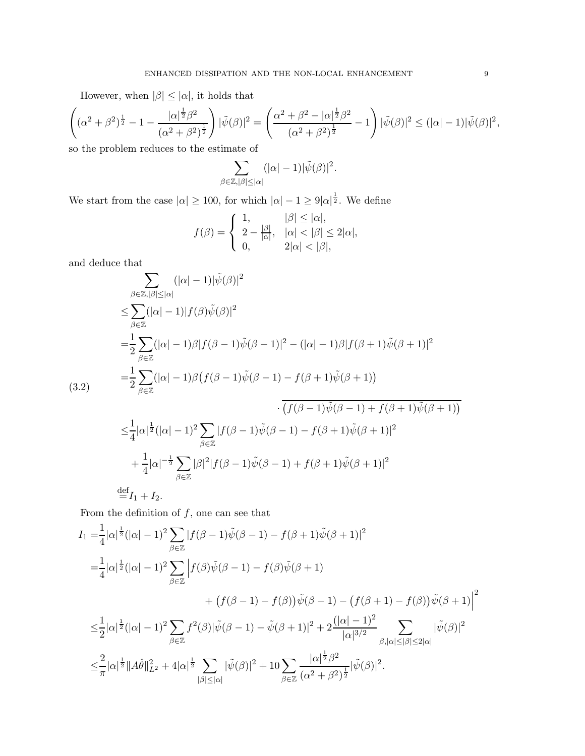However, when  $|\beta| \leq |\alpha|$ , it holds that

$$
\left( (\alpha^2 + \beta^2)^{\frac{1}{2}} - 1 - \frac{|\alpha|^{\frac{1}{2}}\beta^2}{(\alpha^2 + \beta^2)^{\frac{1}{2}}} \right) |\tilde{\psi}(\beta)|^2 = \left( \frac{\alpha^2 + \beta^2 - |\alpha|^{\frac{1}{2}}\beta^2}{(\alpha^2 + \beta^2)^{\frac{1}{2}}} - 1 \right) |\tilde{\psi}(\beta)|^2 \le (|\alpha| - 1)|\tilde{\psi}(\beta)|^2,
$$

so the problem reduces to the estimate of

$$
\sum_{\beta\in\mathbb{Z},|\beta|\leq |\alpha|}(|\alpha|-1)|\tilde{\psi}(\beta)|^2.
$$

We start from the case  $|\alpha| \ge 100$ , for which  $|\alpha| - 1 \ge 9 |\alpha|^{\frac{1}{2}}$ . We define

$$
f(\beta) = \begin{cases} 1, & |\beta| \leq |\alpha|, \\ 2 - \frac{|\beta|}{|\alpha|}, & |\alpha| < |\beta| \leq 2|\alpha|, \\ 0, & 2|\alpha| < |\beta|, \end{cases}
$$

and deduce that

<span id="page-8-0"></span>
$$
\sum_{\beta \in \mathbb{Z}, |\beta| \le |\alpha|} (|\alpha| - 1)|\tilde{\psi}(\beta)|^2
$$
\n
$$
\le \sum_{\beta \in \mathbb{Z}} (|\alpha| - 1)|f(\beta)\tilde{\psi}(\beta)|^2
$$
\n
$$
= \frac{1}{2} \sum_{\beta \in \mathbb{Z}} (|\alpha| - 1)\beta|f(\beta - 1)\tilde{\psi}(\beta - 1)|^2 - (|\alpha| - 1)\beta|f(\beta + 1)\tilde{\psi}(\beta + 1)|^2
$$
\n
$$
= \frac{1}{2} \sum_{\beta \in \mathbb{Z}} (|\alpha| - 1)\beta(f(\beta - 1)\tilde{\psi}(\beta - 1) - f(\beta + 1)\tilde{\psi}(\beta + 1))
$$
\n
$$
\cdot \overline{(f(\beta - 1)\tilde{\psi}(\beta - 1) + f(\beta + 1)\tilde{\psi}(\beta + 1))}
$$
\n
$$
\le \frac{1}{4} |\alpha|^{\frac{1}{2}} (|\alpha| - 1)^2 \sum_{\beta \in \mathbb{Z}} |f(\beta - 1)\tilde{\psi}(\beta - 1) - f(\beta + 1)\tilde{\psi}(\beta + 1)|^2
$$
\n
$$
+ \frac{1}{4} |\alpha|^{-\frac{1}{2}} \sum_{\beta \in \mathbb{Z}} |\beta|^2 |f(\beta - 1)\tilde{\psi}(\beta - 1) + f(\beta + 1)\tilde{\psi}(\beta + 1)|^2
$$

From the definition of  $f$ , one can see that

 $\stackrel{\text{def}}{=} I_1 + I_2.$ 

$$
I_{1} = \frac{1}{4} |\alpha|^{\frac{1}{2}} (|\alpha| - 1)^{2} \sum_{\beta \in \mathbb{Z}} |f(\beta - 1)\tilde{\psi}(\beta - 1) - f(\beta + 1)\tilde{\psi}(\beta + 1)|^{2}
$$
  
\n
$$
= \frac{1}{4} |\alpha|^{\frac{1}{2}} (|\alpha| - 1)^{2} \sum_{\beta \in \mathbb{Z}} \left| f(\beta)\tilde{\psi}(\beta - 1) - f(\beta)\tilde{\psi}(\beta + 1) + (f(\beta - 1) - f(\beta))\tilde{\psi}(\beta - 1) - (f(\beta + 1) - f(\beta))\tilde{\psi}(\beta + 1) \right|^{2}
$$
  
\n
$$
\leq \frac{1}{2} |\alpha|^{\frac{1}{2}} (|\alpha| - 1)^{2} \sum_{\beta \in \mathbb{Z}} f^{2}(\beta) |\tilde{\psi}(\beta - 1) - \tilde{\psi}(\beta + 1)|^{2} + 2 \frac{(|\alpha| - 1)^{2}}{|\alpha|^{3/2}} \sum_{\beta, |\alpha| \leq |\beta| \leq 2|\alpha|} |\tilde{\psi}(\beta)|^{2}
$$
  
\n
$$
\leq \frac{2}{\pi} |\alpha|^{\frac{1}{2}} ||A\hat{\theta}||_{L^{2}}^{2} + 4 |\alpha|^{\frac{1}{2}} \sum_{|\beta| \leq |\alpha|} |\tilde{\psi}(\beta)|^{2} + 10 \sum_{\beta \in \mathbb{Z}} \frac{|\alpha|^{\frac{1}{2}} \beta^{2}}{(\alpha^{2} + \beta^{2})^{\frac{1}{2}}} |\tilde{\psi}(\beta)|^{2}.
$$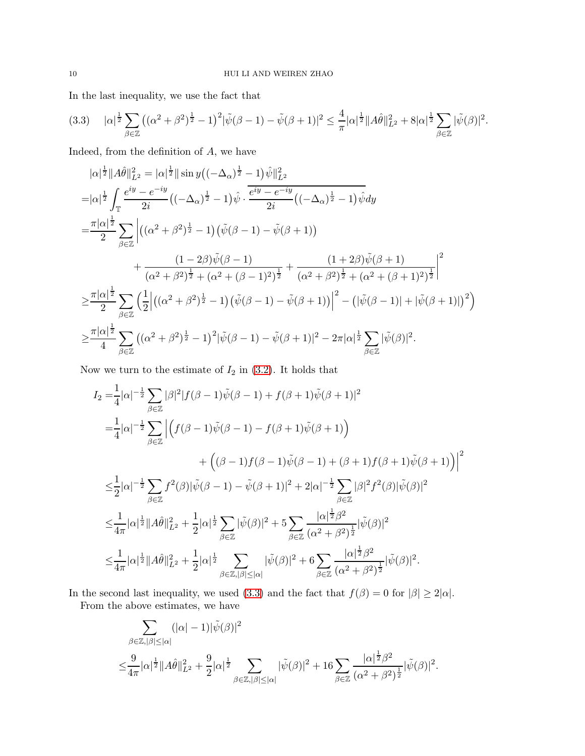In the last inequality, we use the fact that

<span id="page-9-0"></span>
$$
(3.3) \quad |\alpha|^{\frac{1}{2}} \sum_{\beta \in \mathbb{Z}} \left( (\alpha^2 + \beta^2)^{\frac{1}{2}} - 1 \right)^2 |\tilde{\psi}(\beta - 1) - \tilde{\psi}(\beta + 1)|^2 \le \frac{4}{\pi} |\alpha|^{\frac{1}{2}} \|A\hat{\theta}\|_{L^2}^2 + 8|\alpha|^{\frac{1}{2}} \sum_{\beta \in \mathbb{Z}} |\tilde{\psi}(\beta)|^2.
$$

Indeed, from the definition of A, we have

$$
|\alpha|^{\frac{1}{2}}||A\hat{\theta}||_{L^{2}}^{2} = |\alpha|^{\frac{1}{2}}||\sin y\left((-\Delta_{\alpha})^{\frac{1}{2}} - 1\right)\hat{\psi}||_{L^{2}}^{2}
$$
  
\n
$$
= |\alpha|^{\frac{1}{2}} \int_{\mathbb{T}} \frac{e^{iy} - e^{-iy}}{2i} ((-\Delta_{\alpha})^{\frac{1}{2}} - 1)\hat{\psi} \cdot \frac{e^{iy} - e^{-iy}}{2i} ((-\Delta_{\alpha})^{\frac{1}{2}} - 1)\hat{\psi} dy
$$
  
\n
$$
= \frac{\pi |\alpha|^{\frac{1}{2}}}{2} \sum_{\beta \in \mathbb{Z}} \left| \left((\alpha^{2} + \beta^{2})^{\frac{1}{2}} - 1\right)\left(\tilde{\psi}(\beta - 1) - \tilde{\psi}(\beta + 1)\right) \right|
$$
  
\n
$$
+ \frac{(1 - 2\beta)\tilde{\psi}(\beta - 1)}{(\alpha^{2} + \beta^{2})^{\frac{1}{2}} + (\alpha^{2} + (\beta - 1)^{2})^{\frac{1}{2}}} + \frac{(1 + 2\beta)\tilde{\psi}(\beta + 1)}{(\alpha^{2} + \beta^{2})^{\frac{1}{2}} + (\alpha^{2} + (\beta + 1)^{2})^{\frac{1}{2}}} \right|^{2}
$$
  
\n
$$
\geq \frac{\pi |\alpha|^{\frac{1}{2}}}{2} \sum_{\beta \in \mathbb{Z}} \left(\frac{1}{2} \left| \left((\alpha^{2} + \beta^{2})^{\frac{1}{2}} - 1\right)\left(\tilde{\psi}(\beta - 1) - \tilde{\psi}(\beta + 1)\right) \right|^{2} - \left(\left|\tilde{\psi}(\beta - 1)\right| + \left|\tilde{\psi}(\beta + 1)\right|\right)^{2}\right)
$$
  
\n
$$
\geq \frac{\pi |\alpha|^{\frac{1}{2}}}{4} \sum_{\beta \in \mathbb{Z}} \left((\alpha^{2} + \beta^{2})^{\frac{1}{2}} - 1\right)^{2} |\tilde{\psi}(\beta - 1) - \tilde{\psi}(\beta + 1)|^{2} - 2\pi |\alpha|^{\frac{1}{2}} \sum_{\beta \in \mathbb{Z}} |\tilde{\psi}(\beta)|^{2}.
$$

Now we turn to the estimate of  $I_2$  in [\(3.2\)](#page-8-0). It holds that

$$
I_2 = \frac{1}{4} |\alpha|^{-\frac{1}{2}} \sum_{\beta \in \mathbb{Z}} |\beta|^2 |f(\beta - 1)\tilde{\psi}(\beta - 1) + f(\beta + 1)\tilde{\psi}(\beta + 1)|^2
$$
  
\n
$$
= \frac{1}{4} |\alpha|^{-\frac{1}{2}} \sum_{\beta \in \mathbb{Z}} \left| \left( f(\beta - 1)\tilde{\psi}(\beta - 1) - f(\beta + 1)\tilde{\psi}(\beta + 1) \right) \right|
$$
  
\n
$$
+ \left( (\beta - 1)f(\beta - 1)\tilde{\psi}(\beta - 1) + (\beta + 1)f(\beta + 1)\tilde{\psi}(\beta + 1) \right) \right|^2
$$
  
\n
$$
\leq \frac{1}{2} |\alpha|^{-\frac{1}{2}} \sum_{\beta \in \mathbb{Z}} f^2(\beta) |\tilde{\psi}(\beta - 1) - \tilde{\psi}(\beta + 1)|^2 + 2|\alpha|^{-\frac{1}{2}} \sum_{\beta \in \mathbb{Z}} |\beta|^2 f^2(\beta) |\tilde{\psi}(\beta)|^2
$$
  
\n
$$
\leq \frac{1}{4\pi} |\alpha|^{\frac{1}{2}} ||A\hat{\theta}||_{L^2}^2 + \frac{1}{2} |\alpha|^{\frac{1}{2}} \sum_{\beta \in \mathbb{Z}} |\tilde{\psi}(\beta)|^2 + 5 \sum_{\beta \in \mathbb{Z}} \frac{|\alpha|^{\frac{1}{2}} \beta^2}{(\alpha^2 + \beta^2)^{\frac{1}{2}}} |\tilde{\psi}(\beta)|^2
$$
  
\n
$$
\leq \frac{1}{4\pi} |\alpha|^{\frac{1}{2}} ||A\hat{\theta}||_{L^2}^2 + \frac{1}{2} |\alpha|^{\frac{1}{2}} \sum_{\beta \in \mathbb{Z}, |\beta| \leq |\alpha|} |\tilde{\psi}(\beta)|^2 + 6 \sum_{\beta \in \mathbb{Z}} \frac{|\alpha|^{\frac{1}{2}} \beta^2}{(\alpha^2 + \beta^2)^{\frac{1}{2}}} |\tilde{\psi}(\beta)|^2.
$$

In the second last inequality, we used [\(3.3\)](#page-9-0) and the fact that  $f(\beta) = 0$  for  $|\beta| \geq 2|\alpha|$ .

From the above estimates, we have

$$
\sum_{\beta \in \mathbb{Z}, |\beta| \leq |\alpha|} (|\alpha| - 1)|\tilde{\psi}(\beta)|^2
$$
  

$$
\leq \frac{9}{4\pi} |\alpha|^{\frac{1}{2}} ||A\hat{\theta}||_{L^2}^2 + \frac{9}{2} |\alpha|^{\frac{1}{2}} \sum_{\beta \in \mathbb{Z}, |\beta| \leq |\alpha|} |\tilde{\psi}(\beta)|^2 + 16 \sum_{\beta \in \mathbb{Z}} \frac{|\alpha|^{\frac{1}{2}} \beta^2}{(\alpha^2 + \beta^2)^{\frac{1}{2}}} |\tilde{\psi}(\beta)|^2.
$$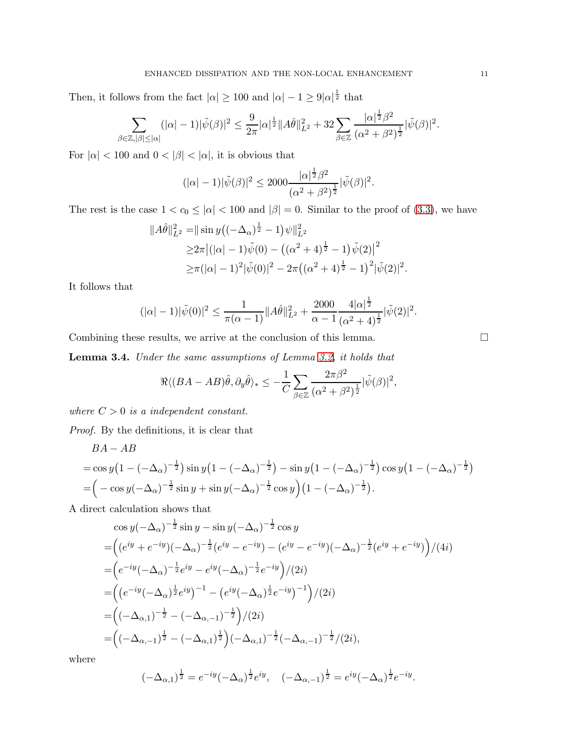Then, it follows from the fact  $|\alpha| \ge 100$  and  $|\alpha| - 1 \ge 9|\alpha|^{\frac{1}{2}}$  that

$$
\sum_{\beta \in \mathbb{Z}, |\beta| \leq |\alpha|} (|\alpha|-1)|\tilde{\psi}(\beta)|^2 \leq \frac{9}{2\pi} |\alpha|^{\frac{1}{2}} \|A\hat{\theta}\|_{L^2}^2 + 32 \sum_{\beta \in \mathbb{Z}} \frac{|\alpha|^{\frac{1}{2}} \beta^2}{(\alpha^2 + \beta^2)^{\frac{1}{2}}} |\tilde{\psi}(\beta)|^2.
$$

For  $|\alpha|<100$  and  $0<|\beta|<|\alpha|,$  it is obvious that

$$
(|\alpha| - 1)|\tilde{\psi}(\beta)|^2 \le 2000 \frac{|\alpha|^{\frac{1}{2}}\beta^2}{(\alpha^2 + \beta^2)^{\frac{1}{2}}}|\tilde{\psi}(\beta)|^2.
$$

The rest is the case  $1 < c_0 \leq |\alpha| < 100$  and  $|\beta| = 0$ . Similar to the proof of [\(3.3\)](#page-9-0), we have

$$
\|A\hat{\theta}\|_{L^2}^2 = \|\sin y\left((-\Delta_{\alpha})^{\frac{1}{2}} - 1\right)\psi\|_{L^2}^2
$$
  
\n
$$
\geq 2\pi \left|(|\alpha| - 1)\tilde{\psi}(0) - \left((\alpha^2 + 4)^{\frac{1}{2}} - 1\right)\tilde{\psi}(2)\right|^2
$$
  
\n
$$
\geq \pi (|\alpha| - 1)^2 |\tilde{\psi}(0)|^2 - 2\pi \left((\alpha^2 + 4)^{\frac{1}{2}} - 1\right)^2 |\tilde{\psi}(2)|^2
$$

It follows that

$$
(|\alpha|-1)|\tilde{\psi}(0)|^2 \le \frac{1}{\pi(\alpha-1)}||A\hat{\theta}||^2_{L^2} + \frac{2000}{\alpha-1} \frac{4|\alpha|^{\frac{1}{2}}}{(\alpha^2+4)^{\frac{1}{2}}}|\tilde{\psi}(2)|^2.
$$

Combining these results, we arrive at the conclusion of this lemma.

<span id="page-10-0"></span>Lemma 3.4. Under the same assumptions of Lemma [3.2,](#page-6-0) it holds that

$$
\Re \langle (BA - AB)\hat{\theta}, \partial_y \hat{\theta} \rangle_* \leq -\frac{1}{C} \sum_{\beta \in \mathbb{Z}} \frac{2\pi \beta^2}{(\alpha^2 + \beta^2)^{\frac{1}{2}}} |\tilde{\psi}(\beta)|^2,
$$

where  $C > 0$  is a independent constant.

Proof. By the definitions, it is clear that

$$
BA - AB
$$
  
= cos y(1 - (- $\Delta_{\alpha}$ )<sup>- $\frac{1}{2}$</sup> ) sin y(1 - (- $\Delta_{\alpha}$ )<sup>- $\frac{1}{2}$</sup> ) - sin y(1 - (- $\Delta_{\alpha}$ )<sup>- $\frac{1}{2}$</sup> ) cos y(1 - (- $\Delta_{\alpha}$ )<sup>- $\frac{1}{2}$</sup> )  
=  $\left(-\cos y(-\Delta_{\alpha})^{-\frac{1}{2}}\sin y + \sin y(-\Delta_{\alpha})^{-\frac{1}{2}}\cos y\right)(1 - (-\Delta_{\alpha})^{-\frac{1}{2}}).$ 

A direct calculation shows that

$$
\cos y(-\Delta_{\alpha})^{-\frac{1}{2}} \sin y - \sin y(-\Delta_{\alpha})^{-\frac{1}{2}} \cos y
$$
  
=  $((e^{iy} + e^{-iy})(-\Delta_{\alpha})^{-\frac{1}{2}}(e^{iy} - e^{-iy}) - (e^{iy} - e^{-iy})(-\Delta_{\alpha})^{-\frac{1}{2}}(e^{iy} + e^{-iy}))/(4i)$   
=  $(e^{-iy}(-\Delta_{\alpha})^{-\frac{1}{2}}e^{iy} - e^{iy}(-\Delta_{\alpha})^{-\frac{1}{2}}e^{-iy})/(2i)$   
=  $((e^{-iy}(-\Delta_{\alpha})^{\frac{1}{2}}e^{iy})^{-1} - (e^{iy}(-\Delta_{\alpha})^{\frac{1}{2}}e^{-iy})^{-1})/(2i)$   
=  $((-\Delta_{\alpha,1})^{-\frac{1}{2}} - (-\Delta_{\alpha,-1})^{-\frac{1}{2}})/(2i)$   
=  $((-\Delta_{\alpha,-1})^{\frac{1}{2}} - (-\Delta_{\alpha,1})^{\frac{1}{2}})(-\Delta_{\alpha,1})^{-\frac{1}{2}}(-\Delta_{\alpha,-1})^{-\frac{1}{2}}/(2i),$ 

where

$$
(-\Delta_{\alpha,1})^{\frac{1}{2}} = e^{-iy}(-\Delta_{\alpha})^{\frac{1}{2}}e^{iy}, \quad (-\Delta_{\alpha,-1})^{\frac{1}{2}} = e^{iy}(-\Delta_{\alpha})^{\frac{1}{2}}e^{-iy}.
$$

.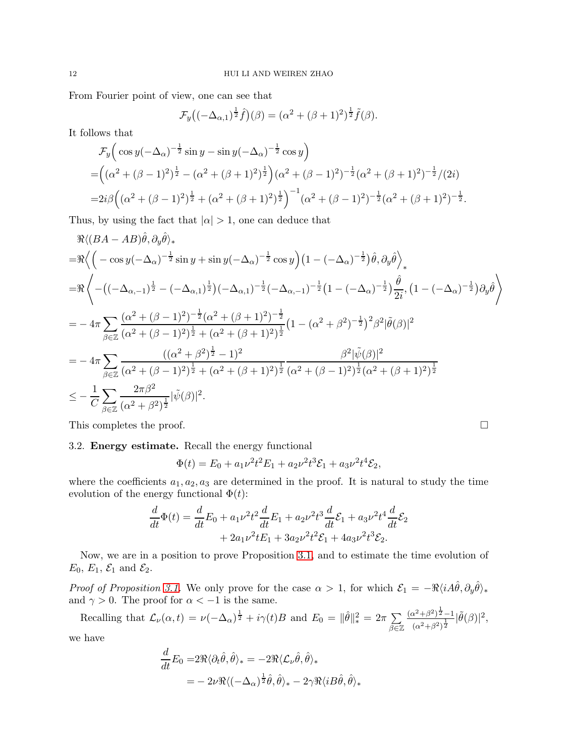From Fourier point of view, one can see that

$$
\mathcal{F}_{y}\big((-\Delta_{\alpha,1})^{\frac{1}{2}}\hat{f}\big)(\beta)=(\alpha^{2}+(\beta+1)^{2})^{\frac{1}{2}}\tilde{f}(\beta).
$$

It follows that

$$
\mathcal{F}_y\Big(\cos y(-\Delta_\alpha)^{-\frac{1}{2}}\sin y - \sin y(-\Delta_\alpha)^{-\frac{1}{2}}\cos y\Big)
$$
  
=  $\Big((\alpha^2 + (\beta - 1)^2)^{\frac{1}{2}} - (\alpha^2 + (\beta + 1)^2)^{\frac{1}{2}}\Big)(\alpha^2 + (\beta - 1)^2)^{-\frac{1}{2}}(\alpha^2 + (\beta + 1)^2)^{-\frac{1}{2}}/(2i)$   
=  $2i\beta \Big((\alpha^2 + (\beta - 1)^2)^{\frac{1}{2}} + (\alpha^2 + (\beta + 1)^2)^{\frac{1}{2}}\Big)^{-1}(\alpha^2 + (\beta - 1)^2)^{-\frac{1}{2}}(\alpha^2 + (\beta + 1)^2)^{-\frac{1}{2}}.$ 

Thus, by using the fact that  $|\alpha| > 1$ , one can deduce that

$$
\Re \langle (BA - AB)\hat{\theta}, \partial_y \hat{\theta} \rangle_*\n= \Re \langle \left( -\cos y(-\Delta_{\alpha})^{-\frac{1}{2}} \sin y + \sin y(-\Delta_{\alpha})^{-\frac{1}{2}} \cos y \right) (1 - (-\Delta_{\alpha})^{-\frac{1}{2}}) \hat{\theta}, \partial_y \hat{\theta} \rangle_*\n= \Re \langle -\left( (-\Delta_{\alpha,-1})^{\frac{1}{2}} - (-\Delta_{\alpha,1})^{\frac{1}{2}} \right) (-\Delta_{\alpha,1})^{-\frac{1}{2}} (-\Delta_{\alpha,-1})^{-\frac{1}{2}} (1 - (-\Delta_{\alpha})^{-\frac{1}{2}}) \frac{\hat{\theta}}{2i}, (1 - (-\Delta_{\alpha})^{-\frac{1}{2}}) \partial_y \hat{\theta} \rangle \rangle_*\n= -4\pi \sum_{\beta \in \mathbb{Z}} \frac{(\alpha^2 + (\beta - 1)^2)^{-\frac{1}{2}} (\alpha^2 + (\beta + 1)^2)^{-\frac{1}{2}}}{(\alpha^2 + (\beta - 1)^2)^{\frac{1}{2}} + (\alpha^2 + (\beta + 1)^2)^{\frac{1}{2}}} (1 - (\alpha^2 + \beta^2)^{-\frac{1}{2}})^2 \beta^2 |\tilde{\theta}(\beta)|^2\n= -4\pi \sum_{\beta \in \mathbb{Z}} \frac{((\alpha^2 + \beta^2)^{\frac{1}{2}} - 1)^2}{(\alpha^2 + (\beta - 1)^2)^{\frac{1}{2}} + (\alpha^2 + (\beta + 1)^2)^{\frac{1}{2}}} \frac{\beta^2 |\tilde{\psi}(\beta)|^2}{(\alpha^2 + (\beta - 1)^2)^{\frac{1}{2}} (\alpha^2 + (\beta + 1)^2)^{\frac{1}{2}}}\n\leq -\frac{1}{C} \sum_{\beta \in \mathbb{Z}} \frac{2\pi \beta^2}{(\alpha^2 + \beta^2)^{\frac{1}{2}}} |\tilde{\psi}(\beta)|^2.
$$

This completes the proof.  $\Box$ 

# 3.2. Energy estimate. Recall the energy functional

$$
\Phi(t) = E_0 + a_1 \nu^2 t^2 E_1 + a_2 \nu^2 t^3 \mathcal{E}_1 + a_3 \nu^2 t^4 \mathcal{E}_2,
$$

where the coefficients  $a_1, a_2, a_3$  are determined in the proof. It is natural to study the time evolution of the energy functional  $\Phi(t)$ :

$$
\frac{d}{dt}\Phi(t) = \frac{d}{dt}E_0 + a_1\nu^2 t^2 \frac{d}{dt}E_1 + a_2\nu^2 t^3 \frac{d}{dt}\mathcal{E}_1 + a_3\nu^2 t^4 \frac{d}{dt}\mathcal{E}_2 \n+ 2a_1\nu^2 t E_1 + 3a_2\nu^2 t^2 \mathcal{E}_1 + 4a_3\nu^2 t^3 \mathcal{E}_2.
$$

Now, we are in a position to prove Proposition [3.1,](#page-6-1) and to estimate the time evolution of  $E_0, E_1, \mathcal{E}_1$  and  $\mathcal{E}_2$ .

Proof of Proposition [3.1.](#page-6-1) We only prove for the case  $\alpha > 1$ , for which  $\mathcal{E}_1 = -\Re\langle i A\hat{\theta}, \partial_y \hat{\theta} \rangle_*$ and  $\gamma > 0$ . The proof for  $\alpha < -1$  is the same.

Recalling that  $\mathcal{L}_{\nu}(\alpha, t) = \nu(-\Delta_{\alpha})^{\frac{1}{2}} + i\gamma(t)B$  and  $E_0 = ||\hat{\theta}||_*^2 = 2\pi \sum$ β∈Z  $(\alpha^2 + \beta^2)^{\frac{1}{2}} - 1$  $\frac{\alpha^2 + \beta^2 \cdot 2 - 1}{(\alpha^2 + \beta^2)^{\frac{1}{2}}} |\tilde{\theta}(\beta)|^2$ 

we have

$$
\frac{d}{dt}E_0 = 2\Re\langle\partial_t\hat{\theta},\hat{\theta}\rangle_* = -2\Re\langle\mathcal{L}_\nu\hat{\theta},\hat{\theta}\rangle_*\n= -2\nu\Re\langle(-\Delta_\alpha)^{\frac{1}{2}}\hat{\theta},\hat{\theta}\rangle_* - 2\gamma\Re\langle iB\hat{\theta},\hat{\theta}\rangle_*
$$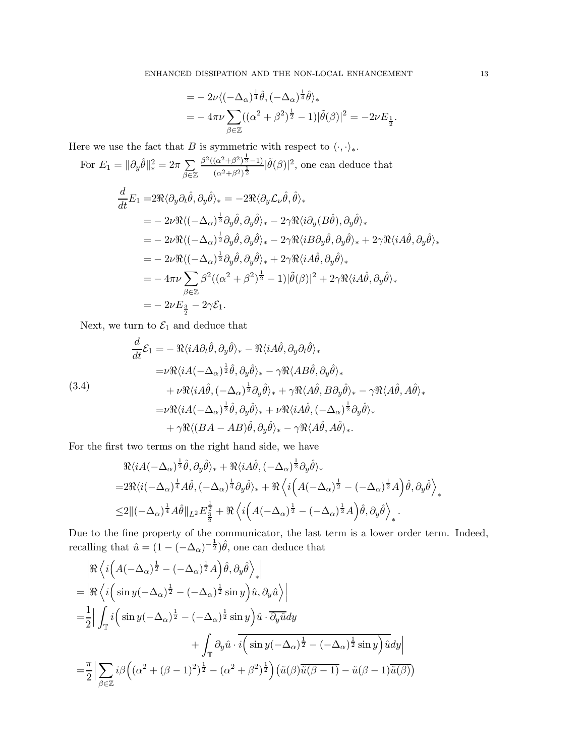$$
= -2\nu \langle (-\Delta_{\alpha})^{\frac{1}{4}} \hat{\theta}, (-\Delta_{\alpha})^{\frac{1}{4}} \hat{\theta} \rangle_*
$$
  
=  $-4\pi\nu \sum_{\beta \in \mathbb{Z}} ((\alpha^2 + \beta^2)^{\frac{1}{2}} - 1)|\tilde{\theta}(\beta)|^2 = -2\nu E_{\frac{1}{2}}.$ 

Here we use the fact that B is symmetric with respect to  $\langle \cdot, \cdot \rangle_*$ .

For 
$$
E_1 = ||\partial_y \hat{\theta}||_*^2 = 2\pi \sum_{\beta \in \mathbb{Z}} \frac{\beta^2((\alpha^2 + \beta^2)^{\frac{1}{2}} - 1)}{(\alpha^2 + \beta^2)^{\frac{1}{2}}} |\tilde{\theta}(\beta)|^2
$$
, one can deduce that  
\n
$$
\frac{d}{dt} E_1 = 2\Re \langle \partial_y \partial_t \hat{\theta}, \partial_y \hat{\theta} \rangle_* = -2\Re \langle \partial_y \mathcal{L}_\nu \hat{\theta}, \hat{\theta} \rangle_*
$$
\n
$$
= -2\nu \Re \langle (-\Delta_\alpha)^{\frac{1}{2}} \partial_y \hat{\theta}, \partial_y \hat{\theta} \rangle_* - 2\gamma \Re \langle i \partial_y (B\hat{\theta}), \partial_y \hat{\theta} \rangle_*
$$
\n
$$
= -2\nu \Re \langle (-\Delta_\alpha)^{\frac{1}{2}} \partial_y \hat{\theta}, \partial_y \hat{\theta} \rangle_* - 2\gamma \Re \langle i B \partial_y \hat{\theta}, \partial_y \hat{\theta} \rangle_* + 2\gamma \Re \langle i A \hat{\theta}, \partial_y \hat{\theta} \rangle_*
$$
\n
$$
= -2\nu \Re \langle (-\Delta_\alpha)^{\frac{1}{2}} \partial_y \hat{\theta}, \partial_y \hat{\theta} \rangle_* + 2\gamma \Re \langle i A \hat{\theta}, \partial_y \hat{\theta} \rangle_*
$$
\n
$$
= -4\pi \nu \sum_{\beta \in \mathbb{Z}} \beta^2 ((\alpha^2 + \beta^2)^{\frac{1}{2}} - 1) |\tilde{\theta}(\beta)|^2 + 2\gamma \Re \langle i A \hat{\theta}, \partial_y \hat{\theta} \rangle_*
$$
\n
$$
= -2\nu E_{\frac{3}{2}} - 2\gamma \mathcal{E}_1.
$$

Next, we turn to  $\mathcal{E}_1$  and deduce that

<span id="page-12-0"></span>(3.4)  
\n
$$
\frac{d}{dt}\mathcal{E}_1 = -\Re \langle i A \partial_t \hat{\theta}, \partial_y \hat{\theta} \rangle_* - \Re \langle i A \hat{\theta}, \partial_y \partial_t \hat{\theta} \rangle_* \n= \nu \Re \langle i A(-\Delta_{\alpha})^{\frac{1}{2}} \hat{\theta}, \partial_y \hat{\theta} \rangle_* - \gamma \Re \langle A B \hat{\theta}, \partial_y \hat{\theta} \rangle_* \n+ \nu \Re \langle i A \hat{\theta}, (-\Delta_{\alpha})^{\frac{1}{2}} \partial_y \hat{\theta} \rangle_* + \gamma \Re \langle A \hat{\theta}, B \partial_y \hat{\theta} \rangle_* - \gamma \Re \langle A \hat{\theta}, A \hat{\theta} \rangle_* \n= \nu \Re \langle i A(-\Delta_{\alpha})^{\frac{1}{2}} \hat{\theta}, \partial_y \hat{\theta} \rangle_* + \nu \Re \langle i A \hat{\theta}, (-\Delta_{\alpha})^{\frac{1}{2}} \partial_y \hat{\theta} \rangle_* \n+ \gamma \Re \langle (BA - AB) \hat{\theta}, \partial_y \hat{\theta} \rangle_* - \gamma \Re \langle A \hat{\theta}, A \hat{\theta} \rangle_*.
$$

For the first two terms on the right hand side, we have

$$
\mathcal{R}\langle iA(-\Delta_{\alpha})^{\frac{1}{2}}\hat{\theta},\partial_{y}\hat{\theta}\rangle_{*} + \mathcal{R}\langle iA\hat{\theta},(-\Delta_{\alpha})^{\frac{1}{2}}\partial_{y}\hat{\theta}\rangle_{*} \n= 2\mathcal{R}\langle i(-\Delta_{\alpha})^{\frac{1}{4}}A\hat{\theta},(-\Delta_{\alpha})^{\frac{1}{4}}\partial_{y}\hat{\theta}\rangle_{*} + \mathcal{R}\langle i\Big(A(-\Delta_{\alpha})^{\frac{1}{2}} - (-\Delta_{\alpha})^{\frac{1}{2}}A\Big)\hat{\theta},\partial_{y}\hat{\theta}\rangle_{*} \n\leq 2\|(-\Delta_{\alpha})^{\frac{1}{4}}A\hat{\theta}\|_{L^{2}}E^{\frac{1}{2}}_{\frac{3}{2}} + \mathcal{R}\langle i\Big(A(-\Delta_{\alpha})^{\frac{1}{2}} - (-\Delta_{\alpha})^{\frac{1}{2}}A\Big)\hat{\theta},\partial_{y}\hat{\theta}\rangle_{*}.
$$

Due to the fine property of the communicator, the last term is a lower order term. Indeed, recalling that  $\hat{u} = (1 - (-\Delta_{\alpha})^{-\frac{1}{2}})\hat{\theta}$ , one can deduce that

$$
\begin{split}\n& \left| \Re \left\langle i \left( A(-\Delta_{\alpha})^{\frac{1}{2}} - (-\Delta_{\alpha})^{\frac{1}{2}} A \right) \hat{\theta}, \partial_{y} \hat{\theta} \right\rangle_{*} \right| \\
& = \left| \Re \left\langle i \left( \sin y (-\Delta_{\alpha})^{\frac{1}{2}} - (-\Delta_{\alpha})^{\frac{1}{2}} \sin y \right) \hat{u}, \partial_{y} \hat{u} \right\rangle \right| \\
& = \frac{1}{2} \right| \int_{\mathbb{T}} i \left( \sin y (-\Delta_{\alpha})^{\frac{1}{2}} - (-\Delta_{\alpha})^{\frac{1}{2}} \sin y \right) \hat{u} \cdot \overline{\partial_{y} \hat{u}} dy \\
& \quad + \int_{\mathbb{T}} \partial_{y} \hat{u} \cdot \overline{i \left( \sin y (-\Delta_{\alpha})^{\frac{1}{2}} - (-\Delta_{\alpha})^{\frac{1}{2}} \sin y \right) \hat{u} dy} \right| \\
& = \frac{\pi}{2} \left| \sum_{\beta \in \mathbb{Z}} i \beta \left( (\alpha^{2} + (\beta - 1)^{2})^{\frac{1}{2}} - (\alpha^{2} + \beta^{2})^{\frac{1}{2}} \right) \left( \tilde{u}(\beta) \overline{\tilde{u}(\beta - 1)} - \tilde{u}(\beta - 1) \overline{\tilde{u}(\beta)} \right) \right|\n\end{split}
$$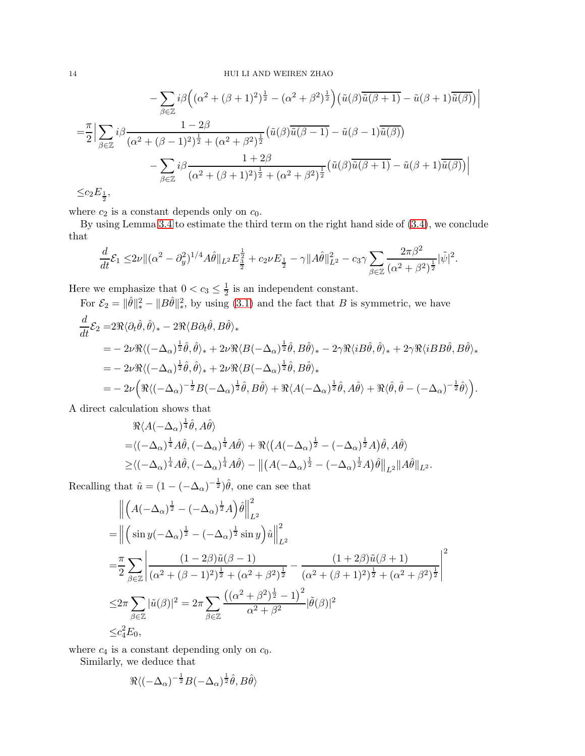$$
- \sum_{\beta \in \mathbb{Z}} i \beta \Big( (\alpha^2 + (\beta + 1)^2)^{\frac{1}{2}} - (\alpha^2 + \beta^2)^{\frac{1}{2}} \Big) \big( \tilde{u}(\beta) \overline{\tilde{u}(\beta + 1)} - \tilde{u}(\beta + 1) \overline{\tilde{u}(\beta)} \big) \Big|
$$
  

$$
= \frac{\pi}{2} \Big| \sum_{\beta \in \mathbb{Z}} i \beta \frac{1 - 2\beta}{(\alpha^2 + (\beta - 1)^2)^{\frac{1}{2}} + (\alpha^2 + \beta^2)^{\frac{1}{2}}} \big( \tilde{u}(\beta) \overline{\tilde{u}(\beta - 1)} - \tilde{u}(\beta - 1) \overline{\tilde{u}(\beta)} \big) \Big|
$$
  

$$
- \sum_{\beta \in \mathbb{Z}} i \beta \frac{1 + 2\beta}{(\alpha^2 + (\beta + 1)^2)^{\frac{1}{2}} + (\alpha^2 + \beta^2)^{\frac{1}{2}}} \big( \tilde{u}(\beta) \overline{\tilde{u}(\beta + 1)} - \tilde{u}(\beta + 1) \overline{\tilde{u}(\beta)} \big) \Big|
$$
  

$$
\leq c_2 E_{\frac{1}{2}},
$$

 $\frac{1}{2}$ 

where  $c_2$  is a constant depends only on  $c_0$ .

By using Lemma [3.4](#page-10-0) to estimate the third term on the right hand side of [\(3.4\)](#page-12-0), we conclude that

$$
\frac{d}{dt}\mathcal{E}_1 \le 2\nu \| (\alpha^2 - \partial_y^2)^{1/4} A\hat{\theta} \|_{L^2} E_{\frac{3}{2}}^{\frac{1}{2}} + c_2 \nu E_{\frac{1}{2}} - \gamma \|A\hat{\theta}\|_{L^2}^2 - c_3 \gamma \sum_{\beta \in \mathbb{Z}} \frac{2\pi \beta^2}{(\alpha^2 + \beta^2)^{\frac{1}{2}}} |\tilde{\psi}|^2.
$$

Here we emphasize that  $0 < c_3 \leq \frac{1}{2}$  $\frac{1}{2}$  is an independent constant.

For  $\mathcal{E}_2 = ||\hat{\theta}||_*^2 - ||B\hat{\theta}||_*^2$ , by using [\(3.1\)](#page-6-2) and the fact that B is symmetric, we have

$$
\frac{d}{dt}\mathcal{E}_2 = 2\Re \langle \partial_t \hat{\theta}, \hat{\theta} \rangle_* - 2\Re \langle B \partial_t \hat{\theta}, B \hat{\theta} \rangle_* \n= -2\nu \Re \langle (-\Delta_\alpha)^{\frac{1}{2}} \hat{\theta}, \hat{\theta} \rangle_* + 2\nu \Re \langle B(-\Delta_\alpha)^{\frac{1}{2}} \hat{\theta}, B \hat{\theta} \rangle_* - 2\gamma \Re \langle i B \hat{\theta}, \hat{\theta} \rangle_* + 2\gamma \Re \langle i B B \hat{\theta}, B \hat{\theta} \rangle_* \n= -2\nu \Re \langle (-\Delta_\alpha)^{\frac{1}{2}} \hat{\theta}, \hat{\theta} \rangle_* + 2\nu \Re \langle B(-\Delta_\alpha)^{\frac{1}{2}} \hat{\theta}, B \hat{\theta} \rangle_* \n= -2\nu \Big( \Re \langle (-\Delta_\alpha)^{-\frac{1}{2}} B(-\Delta_\alpha)^{\frac{1}{2}} \hat{\theta}, B \hat{\theta} \rangle + \Re \langle A(-\Delta_\alpha)^{\frac{1}{2}} \hat{\theta}, A \hat{\theta} \rangle + \Re \langle \hat{\theta}, \hat{\theta} - (-\Delta_\alpha)^{-\frac{1}{2}} \hat{\theta} \rangle \Big).
$$

A direct calculation shows that

$$
\mathcal{R}\langle A(-\Delta_{\alpha})^{\frac{1}{4}}\hat{\theta}, A\hat{\theta}\rangle \n= \langle (-\Delta_{\alpha})^{\frac{1}{4}}A\hat{\theta}, (-\Delta_{\alpha})^{\frac{1}{4}}A\hat{\theta}\rangle + \mathcal{R}\langle (A(-\Delta_{\alpha})^{\frac{1}{2}} - (-\Delta_{\alpha})^{\frac{1}{2}}A)\hat{\theta}, A\hat{\theta}\rangle \n\geq \langle (-\Delta_{\alpha})^{\frac{1}{4}}A\hat{\theta}, (-\Delta_{\alpha})^{\frac{1}{4}}A\hat{\theta}\rangle - ||(A(-\Delta_{\alpha})^{\frac{1}{2}} - (-\Delta_{\alpha})^{\frac{1}{2}}A)\hat{\theta}||_{L^{2}}||A\hat{\theta}||_{L^{2}}.
$$

Recalling that  $\hat{u} = (1 - (-\Delta_{\alpha})^{-\frac{1}{2}})\hat{\theta}$ , one can see that

$$
\begin{split}\n&\left\|\left(A(-\Delta_{\alpha})^{\frac{1}{2}}-(-\Delta_{\alpha})^{\frac{1}{2}}A\right)\hat{\theta}\right\|_{L^{2}}^{2} \\
&=\left\|\left(\sin y(-\Delta_{\alpha})^{\frac{1}{2}}-(-\Delta_{\alpha})^{\frac{1}{2}}\sin y\right)\hat{u}\right\|_{L^{2}}^{2} \\
&=\frac{\pi}{2}\sum_{\beta\in\mathbb{Z}}\left|\frac{(1-2\beta)\tilde{u}(\beta-1)}{(\alpha^{2}+(\beta-1)^{2})^{\frac{1}{2}}+(\alpha^{2}+\beta^{2})^{\frac{1}{2}}}-\frac{(1+2\beta)\tilde{u}(\beta+1)}{(\alpha^{2}+(\beta+1)^{2})^{\frac{1}{2}}+(\alpha^{2}+\beta^{2})^{\frac{1}{2}}}\right|^{2} \\
&\leq 2\pi\sum_{\beta\in\mathbb{Z}}|\tilde{u}(\beta)|^{2}=2\pi\sum_{\beta\in\mathbb{Z}}\frac{((\alpha^{2}+\beta^{2})^{\frac{1}{2}}-1)^{2}}{(\alpha^{2}+\beta^{2})^{\frac{1}{2}}}|\tilde{\theta}(\beta)|^{2} \\
&\leq c_{4}^{2}E_{0},\n\end{split}
$$

where  $c_4$  is a constant depending only on  $c_0$ .

Similarly, we deduce that

$$
\Re \langle (-\Delta_\alpha)^{-\frac{1}{2}} B (-\Delta_\alpha)^{\frac{1}{2}} \hat{\theta}, B \hat{\theta} \rangle
$$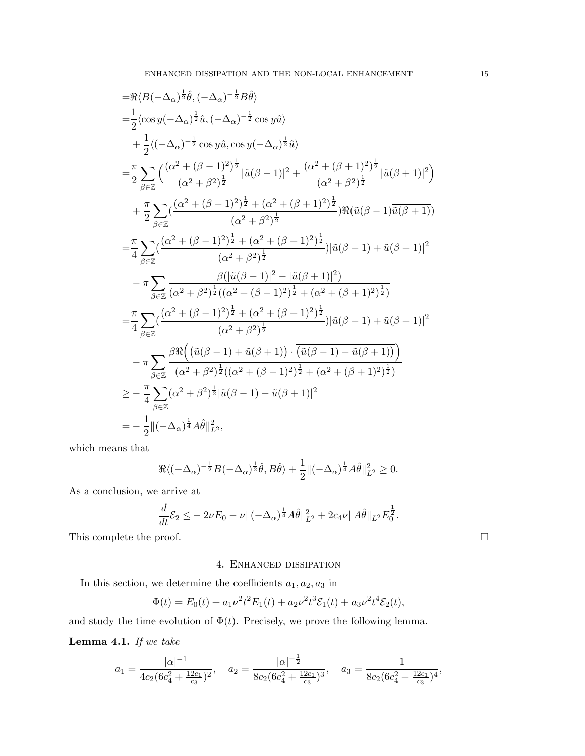$$
\begin{split}\n&= \Re \langle B(-\Delta_{\alpha})^{\frac{1}{2}} \hat{\theta}, (-\Delta_{\alpha})^{-\frac{1}{2}} B \hat{\theta} \rangle \\
&= \frac{1}{2} \langle \cos y(-\Delta_{\alpha})^{\frac{1}{2}} \hat{u}, (-\Delta_{\alpha})^{-\frac{1}{2}} \cos y \hat{u} \rangle \\
&+ \frac{1}{2} \langle (-\Delta_{\alpha})^{-\frac{1}{2}} \cos y \hat{u}, \cos y(-\Delta_{\alpha})^{\frac{1}{2}} \hat{u} \rangle \\
&= \frac{\pi}{2} \sum_{\beta \in \mathbb{Z}} \left( \frac{(\alpha^2 + (\beta - 1)^2)^{\frac{1}{2}}}{(\alpha^2 + \beta^2)^{\frac{1}{2}}} |\tilde{u}(\beta - 1)|^2 + \frac{(\alpha^2 + (\beta + 1)^2)^{\frac{1}{2}}}{(\alpha^2 + \beta^2)^{\frac{1}{2}}} |\tilde{u}(\beta + 1)|^2 \right) \\
&+ \frac{\pi}{2} \sum_{\beta \in \mathbb{Z}} \left( \frac{(\alpha^2 + (\beta - 1)^2)^{\frac{1}{2}} + (\alpha^2 + (\beta + 1)^2)^{\frac{1}{2}}}{(\alpha^2 + \beta^2)^{\frac{1}{2}}} \right) \Re(\tilde{u}(\beta - 1) \overline{\tilde{u}(\beta + 1)}) \\
&= \frac{\pi}{4} \sum_{\beta \in \mathbb{Z}} \left( \frac{(\alpha^2 + (\beta - 1)^2)^{\frac{1}{2}} + (\alpha^2 + (\beta + 1)^2)^{\frac{1}{2}}}{(\alpha^2 + \beta^2)^{\frac{1}{2}}} \right) |\tilde{u}(\beta - 1) + \tilde{u}(\beta + 1)|^2 \\
&- \pi \sum_{\beta \in \mathbb{Z}} \frac{\beta(|\tilde{u}(\beta - 1)|^2 - |\tilde{u}(\beta + 1)|^2)}{(\alpha^2 + \beta^2)^{\frac{1}{2}} + (\alpha^2 + (\beta + 1)^2)^{\frac{1}{2}}} \\
&= \frac{\pi}{4} \sum_{\beta \in \mathbb{Z}} \frac{(\alpha^2 + (\beta - 1)^2)^{\frac{1}{2}} + (\alpha^2 + (\beta + 1)^2)^{\frac{1}{2}}}{(\alpha^2 + \beta^2)^{\frac{1}{2}}} |\tilde{u}(\beta - 1) + \tilde{u}(\beta + 1)|^2 \\
&
$$

which means that

$$
\Re \langle (-\Delta_{\alpha})^{-\frac{1}{2}} B(-\Delta_{\alpha})^{\frac{1}{2}} \hat{\theta}, B \hat{\theta} \rangle + \frac{1}{2} \| (-\Delta_{\alpha})^{\frac{1}{4}} A \hat{\theta} \|_{L^2}^2 \ge 0.
$$

As a conclusion, we arrive at

$$
\frac{d}{dt}\mathcal{E}_2 \leq -2\nu E_0 - \nu \|(-\Delta_\alpha)^{\frac{1}{4}} A\hat{\theta}\|_{L^2}^2 + 2c_4\nu \|A\hat{\theta}\|_{L^2} E_0^{\frac{1}{2}}.
$$

This complete the proof.  $\hfill \square$ 

## 4. Enhanced dissipation

In this section, we determine the coefficients  $a_1, a_2, a_3$  in

$$
\Phi(t) = E_0(t) + a_1 \nu^2 t^2 E_1(t) + a_2 \nu^2 t^3 \mathcal{E}_1(t) + a_3 \nu^2 t^4 \mathcal{E}_2(t),
$$

and study the time evolution of  $\Phi(t)$ . Precisely, we prove the following lemma.

<span id="page-14-0"></span>Lemma 4.1. If we take

$$
a_1 = \frac{|\alpha|^{-1}}{4c_2(6c_4^2 + \frac{12c_1}{c_3})^2}
$$
,  $a_2 = \frac{|\alpha|^{-\frac{1}{2}}}{8c_2(6c_4^2 + \frac{12c_1}{c_3})^3}$ ,  $a_3 = \frac{1}{8c_2(6c_4^2 + \frac{12c_1}{c_3})^4}$ ,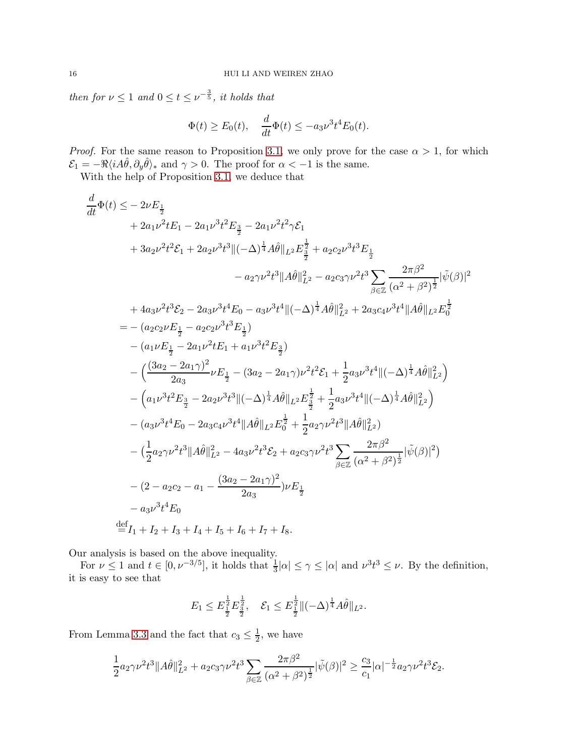then for  $\nu \leq 1$  and  $0 \leq t \leq \nu^{-\frac{3}{5}}$ , it holds that

$$
\Phi(t) \ge E_0(t), \quad \frac{d}{dt}\Phi(t) \le -a_3\nu^3 t^4 E_0(t).
$$

*Proof.* For the same reason to Proposition [3.1,](#page-6-1) we only prove for the case  $\alpha > 1$ , for which  $\mathcal{E}_1 = -\Re\langle i A\hat{\theta}, \partial_y \hat{\theta} \rangle_*$  and  $\gamma > 0$ . The proof for  $\alpha < -1$  is the same.

With the help of Proposition [3.1,](#page-6-1) we deduce that

$$
\frac{d}{dt}\Phi(t) \leq -2\nu E_{\frac{1}{2}}\n+ 2a_{1}\nu^{2}tE_{1} - 2a_{1}\nu^{3}t^{2}E_{\frac{3}{2}} - 2a_{1}\nu^{2}t^{2}\gamma\mathcal{E}_{1}\n+ 3a_{2}\nu^{2}t^{2}\mathcal{E}_{1} + 2a_{2}\nu^{3}t^{3}\|(-\Delta)^{\frac{1}{4}}A\hat{\theta}\|_{L^{2}}E_{\frac{3}{2}}^{1/2} + a_{2}c_{2}\nu^{3}t^{3}E_{\frac{1}{2}}\n- a_{2}\gamma\nu^{2}t^{3}\|A\hat{\theta}\|_{L^{2}}^{2} - a_{2}c_{3}\gamma\nu^{2}t^{3}\sum_{\beta \in \mathbb{Z}}\frac{2\pi\beta^{2}}{(\alpha^{2} + \beta^{2})^{\frac{1}{2}}}|\tilde{\psi}(\beta)|^{2}\n+ 4a_{3}\nu^{2}t^{3}\mathcal{E}_{2} - 2a_{3}\nu^{3}t^{4}E_{0} - a_{3}\nu^{3}t^{4}\|(-\Delta)^{\frac{1}{4}}A\hat{\theta}\|_{L^{2}}^{2} + 2a_{3}c_{4}\nu^{3}t^{4}\|A\hat{\theta}\|_{L^{2}}E_{0}^{\frac{1}{2}}\n= - (a_{2}c_{2}\nu E_{\frac{1}{2}} - a_{2}c_{2}\nu^{3}t^{3}E_{\frac{1}{2}})\n- (a_{1}\nu E_{\frac{1}{2}} - 2a_{1}\nu^{2}tE_{1} + a_{1}\nu^{3}t^{2}E_{\frac{3}{2}})\n- (\frac{(3a_{2} - 2a_{1}\gamma)^{2}}{2a_{3}}\nu E_{\frac{1}{2}} - (3a_{2} - 2a_{1}\gamma)\nu^{2}t^{2}\mathcal{E}_{1} + \frac{1}{2}a_{3}\nu^{3}t^{4}\|(-\Delta)^{\frac{1}{4}}A\hat{\theta}\|_{L^{2}}^{2})\n- (a_{1}\nu^{3}t^{2}E_{\frac{3}{2}} - 2a_{2}\nu^{3}t^{3}\|(-\Delta)^{\frac{1}{4}}A\hat{\theta}\|_{L^{2}}E_{\frac{3}{2}}^{1/2} + \frac{1}{2}a_{3}\nu^{3}
$$

Our analysis is based on the above inequality.

For  $\nu \leq 1$  and  $t \in [0, \nu^{-3/5}]$ , it holds that  $\frac{1}{3}|\alpha| \leq \gamma \leq |\alpha|$  and  $\nu^3 t^3 \leq \nu$ . By the definition, it is easy to see that

$$
E_1 \leq E_{\frac{1}{2}}^{\frac{1}{2}} E_{\frac{3}{2}}^{\frac{1}{2}}, \quad \mathcal{E}_1 \leq E_{\frac{1}{2}}^{\frac{1}{2}} \|(-\Delta)^{\frac{1}{4}} A\hat{\theta}\|_{L^2}.
$$

From Lemma [3.3](#page-7-0) and the fact that  $c_3 \leq \frac{1}{2}$ , we have

$$
\frac{1}{2}a_2\gamma\nu^2t^3||A\hat{\theta}||_{L^2}^2 + a_2c_3\gamma\nu^2t^3\sum_{\beta\in\mathbb{Z}}\frac{2\pi\beta^2}{(\alpha^2+\beta^2)^{\frac{1}{2}}}|\tilde{\psi}(\beta)|^2 \ge \frac{c_3}{c_1}|\alpha|^{-\frac{1}{2}}a_2\gamma\nu^2t^3\mathcal{E}_2.
$$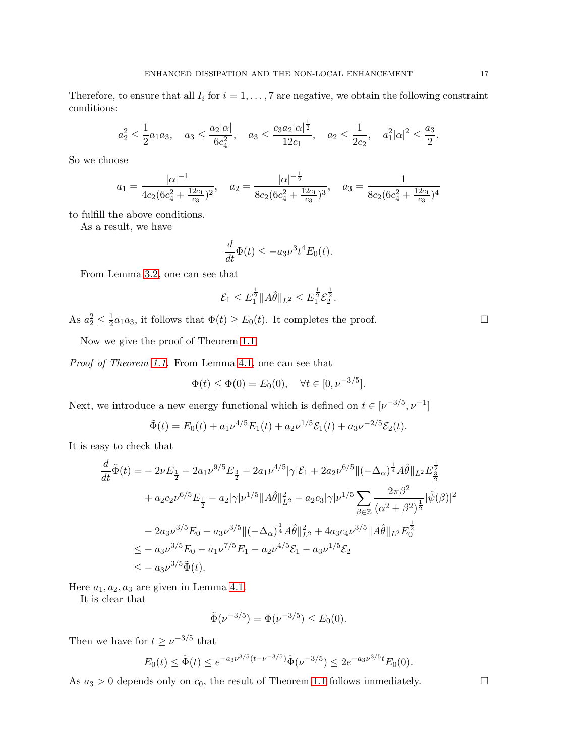Therefore, to ensure that all  $I_i$  for  $i = 1, \ldots, 7$  are negative, we obtain the following constraint conditions:

$$
a_2^2 \le \frac{1}{2}a_1a_3
$$
,  $a_3 \le \frac{a_2|\alpha|}{6c_4^2}$ ,  $a_3 \le \frac{c_3a_2|\alpha|^{\frac{1}{2}}}{12c_1}$ ,  $a_2 \le \frac{1}{2c_2}$ ,  $a_1^2|\alpha|^2 \le \frac{a_3}{2}$ .

So we choose

$$
a_1 = \frac{|\alpha|^{-1}}{4c_2(6c_4^2 + \frac{12c_1}{c_3})^2}, \quad a_2 = \frac{|\alpha|^{-\frac{1}{2}}}{8c_2(6c_4^2 + \frac{12c_1}{c_3})^3}, \quad a_3 = \frac{1}{8c_2(6c_4^2 + \frac{12c_1}{c_3})^4}
$$

to fulfill the above conditions.

As a result, we have

$$
\frac{d}{dt}\Phi(t) \le -a_3\nu^3 t^4 E_0(t).
$$

From Lemma [3.2,](#page-6-0) one can see that

$$
\mathcal{E}_1 \leq E_1^{\frac{1}{2}} \|A\hat{\theta}\|_{L^2} \leq E_1^{\frac{1}{2}} \mathcal{E}_2^{\frac{1}{2}}.
$$

As  $a_2^2 \leq \frac{1}{2}$  $\frac{1}{2}a_1a_3$ , it follows that  $\Phi(t) \ge E_0(t)$ . It completes the proof.

Now we give the proof of Theorem [1.1.](#page-1-0)

Proof of Theorem [1.1.](#page-1-0) From Lemma [4.1,](#page-14-0) one can see that

$$
\Phi(t) \le \Phi(0) = E_0(0), \quad \forall t \in [0, \nu^{-3/5}].
$$

Next, we introduce a new energy functional which is defined on  $t \in [\nu^{-3/5}, \nu^{-1}]$ 

$$
\tilde{\Phi}(t) = E_0(t) + a_1 \nu^{4/5} E_1(t) + a_2 \nu^{1/5} \mathcal{E}_1(t) + a_3 \nu^{-2/5} \mathcal{E}_2(t).
$$

It is easy to check that

$$
\frac{d}{dt}\tilde{\Phi}(t) = -2\nu E_{\frac{1}{2}} - 2a_1\nu^{9/5} E_{\frac{3}{2}} - 2a_1\nu^{4/5} |\gamma| \mathcal{E}_1 + 2a_2\nu^{6/5} ||(-\Delta_{\alpha})^{\frac{1}{4}} A\hat{\theta}||_{L^2} E_{\frac{3}{2}}^{\frac{1}{2}} \n+ a_2c_2\nu^{6/5} E_{\frac{1}{2}} - a_2 |\gamma|\nu^{1/5} ||A\hat{\theta}||_{L^2}^2 - a_2c_3 |\gamma|\nu^{1/5} \sum_{\beta \in \mathbb{Z}} \frac{2\pi\beta^2}{(\alpha^2 + \beta^2)^{\frac{1}{2}}} |\tilde{\psi}(\beta)|^2 \n- 2a_3\nu^{3/5} E_0 - a_3\nu^{3/5} ||(-\Delta_{\alpha})^{\frac{1}{4}} A\hat{\theta}||_{L^2}^2 + 4a_3c_4\nu^{3/5} ||A\hat{\theta}||_{L^2} E_0^{\frac{1}{2}} \n\leq - a_3\nu^{3/5} E_0 - a_1\nu^{7/5} E_1 - a_2\nu^{4/5} \mathcal{E}_1 - a_3\nu^{1/5} \mathcal{E}_2 \n\leq - a_3\nu^{3/5} \tilde{\Phi}(t).
$$

Here  $a_1, a_2, a_3$  are given in Lemma [4.1.](#page-14-0)

It is clear that

$$
\tilde{\Phi}(\nu^{-3/5}) = \Phi(\nu^{-3/5}) \le E_0(0).
$$

Then we have for  $t \geq \nu^{-3/5}$  that

$$
E_0(t) \le \tilde{\Phi}(t) \le e^{-a_3 \nu^{3/5} (t - \nu^{-3/5})} \tilde{\Phi}(\nu^{-3/5}) \le 2e^{-a_3 \nu^{3/5} t} E_0(0).
$$

As  $a_3 > 0$  depends only on  $c_0$ , the result of Theorem [1.1](#page-1-0) follows immediately.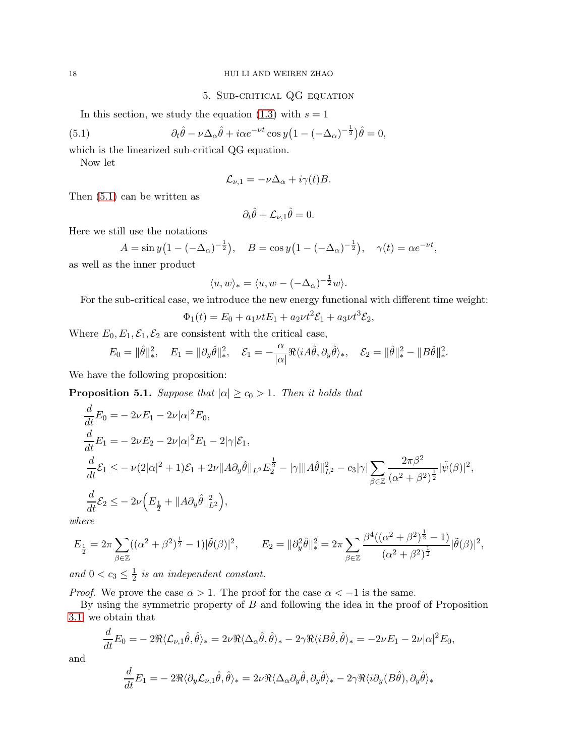# 18 HUI LI AND WEIREN ZHAO

# 5. Sub-critical QG equation

In this section, we study the equation [\(1.3\)](#page-0-2) with  $s = 1$ 

<span id="page-17-0"></span>(5.1) 
$$
\partial_t \hat{\theta} - \nu \Delta_\alpha \hat{\theta} + i \alpha e^{-\nu t} \cos y \left( 1 - (-\Delta_\alpha)^{-\frac{1}{2}} \right) \hat{\theta} = 0,
$$

which is the linearized sub-critical QG equation.

Now let

$$
\mathcal{L}_{\nu,1} = -\nu \Delta_{\alpha} + i\gamma(t)B.
$$

Then [\(5.1\)](#page-17-0) can be written as

$$
\partial_t \hat{\theta} + \mathcal{L}_{\nu,1} \hat{\theta} = 0.
$$

Here we still use the notations

$$
A = \sin y \left( 1 - (-\Delta_{\alpha})^{-\frac{1}{2}} \right), \quad B = \cos y \left( 1 - (-\Delta_{\alpha})^{-\frac{1}{2}} \right), \quad \gamma(t) = \alpha e^{-\nu t},
$$

as well as the inner product

$$
\langle u, w \rangle_* = \langle u, w - (-\Delta_\alpha)^{-\frac{1}{2}} w \rangle.
$$

For the sub-critical case, we introduce the new energy functional with different time weight:

$$
\Phi_1(t) = E_0 + a_1 \nu t E_1 + a_2 \nu t^2 \mathcal{E}_1 + a_3 \nu t^3 \mathcal{E}_2,
$$

Where  $E_0, E_1, \mathcal{E}_1, \mathcal{E}_2$  are consistent with the critical case,

$$
E_0 = \|\hat{\theta}\|_*^2, \quad E_1 = \|\partial_y \hat{\theta}\|_*^2, \quad \mathcal{E}_1 = -\frac{\alpha}{|\alpha|} \Re \langle i A\hat{\theta}, \partial_y \hat{\theta} \rangle_*, \quad \mathcal{E}_2 = \|\hat{\theta}\|_*^2 - \|B\hat{\theta}\|_*^2.
$$

We have the following proposition:

<span id="page-17-1"></span>**Proposition 5.1.** Suppose that  $|\alpha| \geq c_0 > 1$ . Then it holds that

$$
\begin{split}\n\frac{d}{dt}E_{0} &= -2\nu E_{1} - 2\nu|\alpha|^{2}E_{0}, \\
\frac{d}{dt}E_{1} &= -2\nu E_{2} - 2\nu|\alpha|^{2}E_{1} - 2|\gamma|\mathcal{E}_{1}, \\
\frac{d}{dt}\mathcal{E}_{1} &\leq -\nu(2|\alpha|^{2} + 1)\mathcal{E}_{1} + 2\nu\|A\partial_{y}\hat{\theta}\|_{L^{2}}E_{2}^{\frac{1}{2}} - |\gamma|\|A\hat{\theta}\|_{L^{2}}^{2} - c_{3}|\gamma|\sum_{\beta \in \mathbb{Z}}\frac{2\pi\beta^{2}}{(\alpha^{2} + \beta^{2})^{\frac{1}{2}}}|\tilde{\psi}(\beta)|^{2}, \\
\frac{d}{dt}\mathcal{E}_{2} &\leq -2\nu\left(E_{\frac{1}{2}} + \|A\partial_{y}\hat{\theta}\|_{L^{2}}^{2}\right),\n\end{split}
$$

where

$$
E_{\frac{1}{2}} = 2\pi \sum_{\beta \in \mathbb{Z}} ((\alpha^2 + \beta^2)^{\frac{1}{2}} - 1)|\tilde{\theta}(\beta)|^2, \qquad E_2 = ||\partial_y^2 \hat{\theta}||_*^2 = 2\pi \sum_{\beta \in \mathbb{Z}} \frac{\beta^4 ((\alpha^2 + \beta^2)^{\frac{1}{2}} - 1)}{(\alpha^2 + \beta^2)^{\frac{1}{2}}} |\tilde{\theta}(\beta)|^2,
$$

and  $0 < c_3 \leq \frac{1}{2}$  $\frac{1}{2}$  is an independent constant.

*Proof.* We prove the case  $\alpha > 1$ . The proof for the case  $\alpha < -1$  is the same.

By using the symmetric property of B and following the idea in the proof of Proposition [3.1,](#page-6-1) we obtain that

$$
\frac{d}{dt}E_0 = -2\Re\langle \mathcal{L}_{\nu,1}\hat{\theta}, \hat{\theta}\rangle_* = 2\nu\Re\langle \Delta_\alpha \hat{\theta}, \hat{\theta}\rangle_* - 2\gamma\Re\langle iB\hat{\theta}, \hat{\theta}\rangle_* = -2\nu E_1 - 2\nu|\alpha|^2 E_0,
$$

and

$$
\frac{d}{dt}E_1 = -2\Re\langle\partial_y \mathcal{L}_{\nu,1}\hat{\theta}, \hat{\theta}\rangle_* = 2\nu\Re\langle\Delta_\alpha \partial_y \hat{\theta}, \partial_y \hat{\theta}\rangle_* - 2\gamma\Re\langle i \partial_y (B\hat{\theta}), \partial_y \hat{\theta}\rangle_*
$$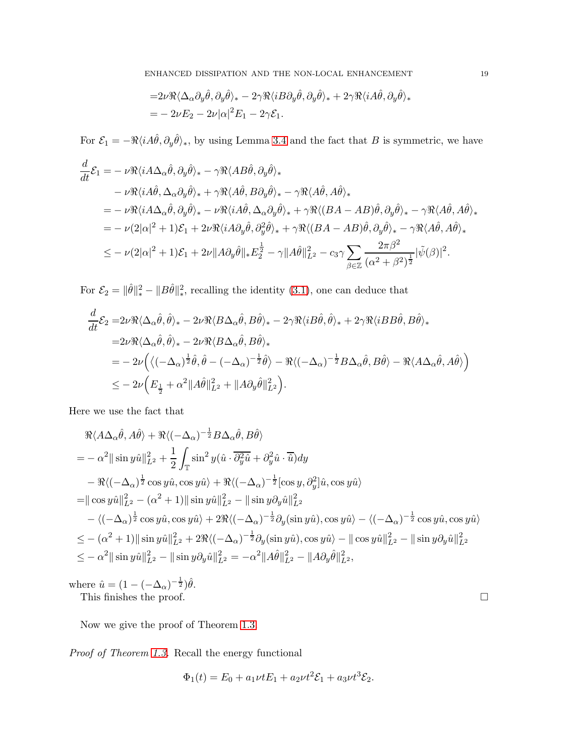$$
=2\nu\Re\langle\Delta_{\alpha}\partial_{y}\hat{\theta},\partial_{y}\hat{\theta}\rangle_{*}-2\gamma\Re\langle iB\partial_{y}\hat{\theta},\partial_{y}\hat{\theta}\rangle_{*}+2\gamma\Re\langle iA\hat{\theta},\partial_{y}\hat{\theta}\rangle_{*}=-2\nu E_{2}-2\nu|\alpha|^{2}E_{1}-2\gamma\mathcal{E}_{1}.
$$

For  $\mathcal{E}_1 = -\Re\langle i A\hat{\theta}, \partial_y \hat{\theta} \rangle_*$ , by using Lemma [3.4](#page-10-0) and the fact that B is symmetric, we have

$$
\frac{d}{dt}\mathcal{E}_1 = -\nu \Re \langle i A \Delta_\alpha \hat{\theta}, \partial_y \hat{\theta} \rangle_* - \gamma \Re \langle A B \hat{\theta}, \partial_y \hat{\theta} \rangle_* \n- \nu \Re \langle i A \hat{\theta}, \Delta_\alpha \partial_y \hat{\theta} \rangle_* + \gamma \Re \langle A \hat{\theta}, B \partial_y \hat{\theta} \rangle_* - \gamma \Re \langle A \hat{\theta}, A \hat{\theta} \rangle_* \n= -\nu \Re \langle i A \Delta_\alpha \hat{\theta}, \partial_y \hat{\theta} \rangle_* - \nu \Re \langle i A \hat{\theta}, \Delta_\alpha \partial_y \hat{\theta} \rangle_* + \gamma \Re \langle (BA - AB)\hat{\theta}, \partial_y \hat{\theta} \rangle_* - \gamma \Re \langle A \hat{\theta}, A \hat{\theta} \rangle_* \n= -\nu (2|\alpha|^2 + 1)\mathcal{E}_1 + 2\nu \Re \langle i A \partial_y \hat{\theta}, \partial_y^2 \hat{\theta} \rangle_* + \gamma \Re \langle (BA - AB)\hat{\theta}, \partial_y \hat{\theta} \rangle_* - \gamma \Re \langle A \hat{\theta}, A \hat{\theta} \rangle_* \n\leq -\nu (2|\alpha|^2 + 1)\mathcal{E}_1 + 2\nu \|A \partial_y \hat{\theta} \|_* E_2^{\frac{1}{2}} - \gamma \|A \hat{\theta} \|_{L^2}^2 - c_3 \gamma \sum_{\beta \in \mathbb{Z}} \frac{2\pi \beta^2}{(\alpha^2 + \beta^2)^{\frac{1}{2}}} |\tilde{\psi}(\beta)|^2.
$$

For  $\mathcal{E}_2 = ||\hat{\theta}||_*^2 - ||B\hat{\theta}||_*^2$ , recalling the identity [\(3.1\)](#page-6-2), one can deduce that

$$
\begin{split} &\frac{d}{dt}\mathcal{E}_{2} = 2\nu\Re\langle\Delta_{\alpha}\hat{\theta},\hat{\theta}\rangle_{*} - 2\nu\Re\langle B\Delta_{\alpha}\hat{\theta},B\hat{\theta}\rangle_{*} - 2\gamma\Re\langle iB\hat{\theta},\hat{\theta}\rangle_{*} + 2\gamma\Re\langle iBB\hat{\theta},B\hat{\theta}\rangle_{*} \\ &= 2\nu\Re\langle\Delta_{\alpha}\hat{\theta},\hat{\theta}\rangle_{*} - 2\nu\Re\langle B\Delta_{\alpha}\hat{\theta},B\hat{\theta}\rangle_{*} \\ &= -2\nu\Big(\langle(-\Delta_{\alpha})^{\frac{1}{2}}\hat{\theta},\hat{\theta}-(-\Delta_{\alpha})^{-\frac{1}{2}}\hat{\theta}\rangle - \Re\langle(-\Delta_{\alpha})^{-\frac{1}{2}}B\Delta_{\alpha}\hat{\theta},B\hat{\theta}\rangle - \Re\langle A\Delta_{\alpha}\hat{\theta},A\hat{\theta}\rangle\Big) \\ &\leq -2\nu\Big(E_{\frac{1}{2}} + \alpha^{2}\|A\hat{\theta}\|_{L^{2}}^{2} + \|A\partial_{y}\hat{\theta}\|_{L^{2}}^{2}\Big). \end{split}
$$

Here we use the fact that

$$
\mathcal{R}\langle A\Delta_{\alpha}\hat{\theta}, A\hat{\theta}\rangle + \mathcal{R}\langle (-\Delta_{\alpha})^{-\frac{1}{2}}B\Delta_{\alpha}\hat{\theta}, B\hat{\theta}\rangle
$$
  
\n
$$
= -\alpha^2 ||\sin y\hat{u}||_{L^2}^2 + \frac{1}{2} \int_{\mathbb{T}} \sin^2 y(\hat{u} \cdot \overline{\partial_y^2 \hat{u}} + \partial_y^2 \hat{u} \cdot \overline{\hat{u}}) dy
$$
  
\n
$$
- \mathcal{R}\langle (-\Delta_{\alpha})^{\frac{1}{2}} \cos y\hat{u}, \cos y\hat{u}\rangle + \mathcal{R}\langle (-\Delta_{\alpha})^{-\frac{1}{2}} [\cos y, \partial_y^2] \hat{u}, \cos y\hat{u}\rangle
$$
  
\n
$$
= ||\cos y\hat{u}||_{L^2}^2 - (\alpha^2 + 1)||\sin y\hat{u}||_{L^2}^2 - ||\sin y\partial_y\hat{u}||_{L^2}^2
$$
  
\n
$$
- \langle (-\Delta_{\alpha})^{\frac{1}{2}} \cos y\hat{u}, \cos y\hat{u}\rangle + 2\mathcal{R}\langle (-\Delta_{\alpha})^{-\frac{1}{2}} \partial_y (\sin y\hat{u}), \cos y\hat{u}\rangle - \langle (-\Delta_{\alpha})^{-\frac{1}{2}} \cos y\hat{u}, \cos y\hat{u}\rangle
$$
  
\n
$$
\leq -(\alpha^2 + 1)||\sin y\hat{u}||_{L^2}^2 + 2\mathcal{R}\langle (-\Delta_{\alpha})^{-\frac{1}{2}} \partial_y (\sin y\hat{u}), \cos y\hat{u}\rangle - ||\cos y\hat{u}||_{L^2}^2 - ||\sin y\partial_y\hat{u}||_{L^2}^2
$$
  
\n
$$
\leq -\alpha^2 ||\sin y\hat{u}||_{L^2}^2 - ||\sin y\partial_y\hat{u}||_{L^2}^2 = -\alpha^2 ||A\hat{\theta}||_{L^2}^2 - ||A\partial_y\hat{\theta}||_{L^2}^2,
$$

where  $\hat{u} = (1 - (-\Delta_{\alpha})^{-\frac{1}{2}})\hat{\theta}$ .

This finishes the proof.  $\Box$ 

Now we give the proof of Theorem [1.3.](#page-2-0)

Proof of Theorem [1.3.](#page-2-0) Recall the energy functional

$$
\Phi_1(t) = E_0 + a_1 \nu t E_1 + a_2 \nu t^2 \mathcal{E}_1 + a_3 \nu t^3 \mathcal{E}_2.
$$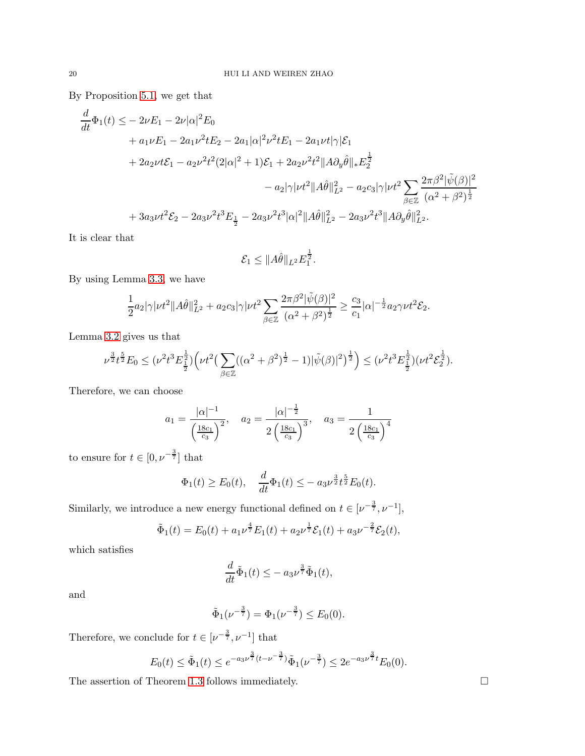By Proposition [5.1,](#page-17-1) we get that

$$
\frac{d}{dt}\Phi_1(t) \le -2\nu E_1 - 2\nu |\alpha|^2 E_0 \n+ a_1 \nu E_1 - 2a_1 \nu^2 t E_2 - 2a_1 |\alpha|^2 \nu^2 t E_1 - 2a_1 \nu t |\gamma| \mathcal{E}_1 \n+ 2a_2 \nu t \mathcal{E}_1 - a_2 \nu^2 t^2 (2|\alpha|^2 + 1) \mathcal{E}_1 + 2a_2 \nu^2 t^2 ||A \partial_y \hat{\theta}||_* E_2^{\frac{1}{2}} \n- a_2 |\gamma| \nu t^2 ||A \hat{\theta}||_{L^2}^2 - a_2 c_3 |\gamma| \nu t^2 \sum_{\beta \in \mathbb{Z}} \frac{2\pi \beta^2 |\tilde{\psi}(\beta)|^2}{(\alpha^2 + \beta^2)^{\frac{1}{2}}} \n+ 3a_3 \nu t^2 \mathcal{E}_2 - 2a_3 \nu^2 t^3 E_{\frac{1}{2}} - 2a_3 \nu^2 t^3 |\alpha|^2 ||A \hat{\theta}||_{L^2}^2 - 2a_3 \nu^2 t^3 ||A \partial_y \hat{\theta}||_{L^2}^2.
$$

It is clear that

$$
\mathcal{E}_1 \leq \|\widehat{A}\widehat{\theta}\|_{L^2} E_1^{\frac{1}{2}}.
$$

By using Lemma [3.3,](#page-7-0) we have

$$
\frac{1}{2}a_2|\gamma|\nu t^2\|A\hat{\theta}\|_{L^2}^2 + a_2c_3|\gamma|\nu t^2\sum_{\beta\in\mathbb{Z}}\frac{2\pi\beta^2|\tilde{\psi}(\beta)|^2}{(\alpha^2+\beta^2)^{\frac{1}{2}}}\geq \frac{c_3}{c_1}|\alpha|^{-\frac{1}{2}}a_2\gamma\nu t^2\mathcal{E}_2.
$$

Lemma [3.2](#page-6-0) gives us that

$$
\nu^{\frac{3}{2}}t^{\frac{5}{2}}E_0 \leq (\nu^2 t^3 E_{\frac{1}{2}}^{\frac{1}{2}}) \Big(\nu t^2 \big(\sum_{\beta \in \mathbb{Z}} ((\alpha^2 + \beta^2)^{\frac{1}{2}} - 1) |\tilde{\psi}(\beta)|^2\big)^{\frac{1}{2}}\Big) \leq (\nu^2 t^3 E_{\frac{1}{2}}^{\frac{1}{2}})(\nu t^2 \mathcal{E}_{2}^{\frac{1}{2}}).
$$

Therefore, we can choose

$$
a_1 = \frac{|\alpha|^{-1}}{\left(\frac{18c_1}{c_3}\right)^2}
$$
,  $a_2 = \frac{|\alpha|^{-\frac{1}{2}}}{2\left(\frac{18c_1}{c_3}\right)^3}$ ,  $a_3 = \frac{1}{2\left(\frac{18c_1}{c_3}\right)^4}$ 

to ensure for  $t \in [0, \nu^{-\frac{3}{7}}]$  that

$$
\Phi_1(t) \ge E_0(t), \quad \frac{d}{dt}\Phi_1(t) \le -a_3\nu^{\frac{3}{2}}t^{\frac{5}{2}}E_0(t).
$$

Similarly, we introduce a new energy functional defined on  $t \in [\nu^{-\frac{3}{7}}, \nu^{-1}]$ ,

$$
\tilde{\Phi}_1(t) = E_0(t) + a_1 \nu^{\frac{4}{7}} E_1(t) + a_2 \nu^{\frac{1}{7}} \mathcal{E}_1(t) + a_3 \nu^{-\frac{2}{7}} \mathcal{E}_2(t),
$$

which satisfies

$$
\frac{d}{dt}\tilde{\Phi}_1(t) \le -a_3\nu^{\frac{3}{7}}\tilde{\Phi}_1(t),
$$

and

$$
\tilde{\Phi}_1(\nu^{-\frac{3}{7}}) = \Phi_1(\nu^{-\frac{3}{7}}) \le E_0(0).
$$

Therefore, we conclude for  $t \in [\nu^{-\frac{3}{7}}, \nu^{-1}]$  that

$$
E_0(t) \le \tilde{\Phi}_1(t) \le e^{-a_3 \nu^{\frac{3}{7}} (t - \nu^{-\frac{3}{7}})} \tilde{\Phi}_1(\nu^{-\frac{3}{7}}) \le 2e^{-a_3 \nu^{\frac{3}{7}} t} E_0(0).
$$

The assertion of Theorem [1.3](#page-2-0) follows immediately.  $\Box$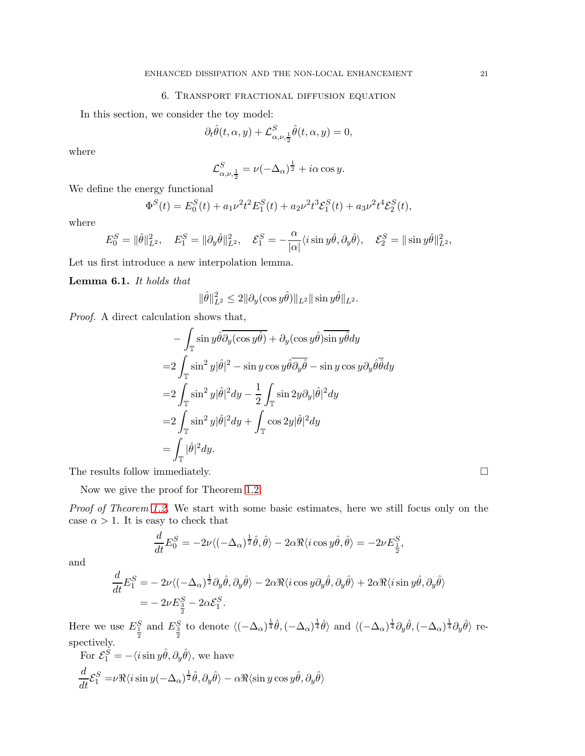# 6. Transport fractional diffusion equation

In this section, we consider the toy model:

$$
\partial_t \hat{\theta}(t, \alpha, y) + \mathcal{L}^S_{\alpha, \nu, \frac{1}{2}} \hat{\theta}(t, \alpha, y) = 0,
$$

where

$$
\mathcal{L}^{S}_{\alpha,\nu,\frac{1}{2}} = \nu(-\Delta_{\alpha})^{\frac{1}{2}} + i\alpha \cos y.
$$

We define the energy functional

$$
\Phi^{S}(t) = E_0^{S}(t) + a_1 \nu^2 t^2 E_1^{S}(t) + a_2 \nu^2 t^3 \mathcal{E}_1^{S}(t) + a_3 \nu^2 t^4 \mathcal{E}_2^{S}(t),
$$

where

$$
E^S_0=\|\hat{\theta}\|^2_{L^2},\quad E^S_1=\|\partial_y\hat{\theta}\|^2_{L^2},\quad \mathcal{E}^S_1=-\frac{\alpha}{|\alpha|}\langle i\sin y\hat{\theta},\partial_y\hat{\theta}\rangle,\quad \mathcal{E}^S_2=\|\sin y\hat{\theta}\|^2_{L^2},
$$

Let us first introduce a new interpolation lemma.

<span id="page-20-0"></span>Lemma 6.1. It holds that

$$
\|\hat{\theta}\|_{L^2}^2 \le 2\|\partial_y(\cos y\hat{\theta})\|_{L^2}\|\sin y\hat{\theta}\|_{L^2}.
$$

Proof. A direct calculation shows that,

$$
- \int_{\mathbb{T}} \sin y \hat{\theta} \overline{\partial_y (\cos y \hat{\theta})} + \partial_y (\cos y \hat{\theta}) \overline{\sin y \hat{\theta}} dy
$$
  
\n
$$
= 2 \int_{\mathbb{T}} \sin^2 y |\hat{\theta}|^2 - \sin y \cos y \hat{\theta} \overline{\partial_y \hat{\theta}} - \sin y \cos y \partial_y \hat{\theta} \overline{\hat{\theta}} dy
$$
  
\n
$$
= 2 \int_{\mathbb{T}} \sin^2 y |\hat{\theta}|^2 dy - \frac{1}{2} \int_{\mathbb{T}} \sin 2y \partial_y |\hat{\theta}|^2 dy
$$
  
\n
$$
= 2 \int_{\mathbb{T}} \sin^2 y |\hat{\theta}|^2 dy + \int_{\mathbb{T}} \cos 2y |\hat{\theta}|^2 dy
$$
  
\n
$$
= \int_{\mathbb{T}} |\hat{\theta}|^2 dy.
$$

The results follow immediately.  $\hfill \Box$ 

Now we give the proof for Theorem [1.2.](#page-1-1)

Proof of Theorem [1.2.](#page-1-1) We start with some basic estimates, here we still focus only on the case  $\alpha > 1$ . It is easy to check that

$$
\frac{d}{dt}E_0^S = -2\nu\langle \left(-\Delta_\alpha\right)^{\frac{1}{2}}\hat{\theta}, \hat{\theta}\rangle - 2\alpha \Re \langle i\cos y\hat{\theta}, \hat{\theta}\rangle = -2\nu E_{\frac{1}{2}}^S,
$$

and

$$
\begin{split} \frac{d}{dt}E_1^S&=-2\nu\langle(-\Delta_\alpha)^{\frac{1}{2}}\partial_y\hat{\theta},\partial_y\hat{\theta}\rangle-2\alpha\Re\langle i\cos y\partial_y\hat{\theta},\partial_y\hat{\theta}\rangle+2\alpha\Re\langle i\sin y\hat{\theta},\partial_y\hat{\theta}\rangle\\ &=-2\nu E_{\frac{3}{2}}^S-2\alpha\mathcal{E}_1^S. \end{split}
$$

Here we use  $E_{\frac{1}{2}}^{S}$  and  $E_{\frac{3}{2}}^{S}$  to denote  $\langle (-\Delta_{\alpha})^{\frac{1}{4}}\hat{\theta}, (-\Delta_{\alpha})^{\frac{1}{4}}\hat{\theta}\rangle$  and  $\langle (-\Delta_{\alpha})^{\frac{1}{4}}\partial_{y}\hat{\theta}, (-\Delta_{\alpha})^{\frac{1}{4}}\partial_{y}\hat{\theta}\rangle$  respectively.

For 
$$
\mathcal{E}_1^S = -\langle i \sin y \hat{\theta}, \partial_y \hat{\theta} \rangle
$$
, we have  
\n
$$
\frac{d}{dt} \mathcal{E}_1^S = \nu \Re \langle i \sin y (-\Delta_\alpha)^\frac{1}{2} \hat{\theta}, \partial_y \hat{\theta} \rangle - \alpha \Re \langle \sin y \cos y \hat{\theta}, \partial_y \hat{\theta} \rangle
$$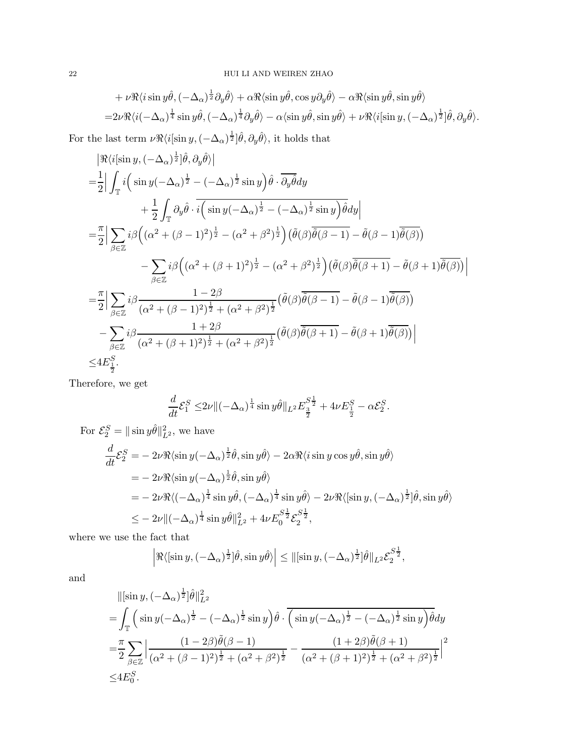$$
+ \nu \Re \langle i \sin y \hat{\theta}, (-\Delta_{\alpha})^{\frac{1}{2}} \partial_y \hat{\theta} \rangle + \alpha \Re \langle \sin y \hat{\theta}, \cos y \partial_y \hat{\theta} \rangle - \alpha \Re \langle \sin y \hat{\theta}, \sin y \hat{\theta} \rangle
$$
  
=  $2\nu \Re \langle i(-\Delta_{\alpha})^{\frac{1}{4}} \sin y \hat{\theta}, (-\Delta_{\alpha})^{\frac{1}{4}} \partial_y \hat{\theta} \rangle - \alpha \langle \sin y \hat{\theta}, \sin y \hat{\theta} \rangle + \nu \Re \langle i[\sin y, (-\Delta_{\alpha})^{\frac{1}{2}}] \hat{\theta}, \partial_y \hat{\theta} \rangle.$ 

For the last term  $\nu \Re \langle i[\sin y, (-\Delta_\alpha)^{\frac{1}{2}}] \hat{\theta}, \partial_y \hat{\theta} \rangle$ , it holds that

$$
\begin{split}\n&\left|\Re\langle i[\sin y,(-\Delta_{\alpha})^{\frac{1}{2}}]\hat{\theta},\partial_{y}\hat{\theta}\rangle\right| \\
&=\frac{1}{2}\left|\int_{\mathbb{T}}i\left(\sin y(-\Delta_{\alpha})^{\frac{1}{2}}-(-\Delta_{\alpha})^{\frac{1}{2}}\sin y\right)\hat{\theta}\cdot\overline{\partial_{y}\hat{\theta}}dy\right.\\
&\left.+\frac{1}{2}\int_{\mathbb{T}}\partial_{y}\hat{\theta}\cdot\overline{i\left(\sin y(-\Delta_{\alpha})^{\frac{1}{2}}-(-\Delta_{\alpha})^{\frac{1}{2}}\sin y\right)}\hat{\theta}dy\right| \\
&=\frac{\pi}{2}\left|\sum_{\beta\in\mathbb{Z}}i\beta\left((\alpha^{2}+(\beta-1)^{2})^{\frac{1}{2}}-(\alpha^{2}+\beta^{2})^{\frac{1}{2}}\right)(\tilde{\theta}(\beta)\overline{\tilde{\theta}(\beta-1)}-\tilde{\theta}(\beta-1)\overline{\tilde{\theta}(\beta)})\right.\\
&\left.-\sum_{\beta\in\mathbb{Z}}i\beta\left((\alpha^{2}+(\beta+1)^{2})^{\frac{1}{2}}-(\alpha^{2}+\beta^{2})^{\frac{1}{2}}\right)(\tilde{\theta}(\beta)\overline{\tilde{\theta}(\beta+1)}-\tilde{\theta}(\beta+1)\overline{\tilde{\theta}(\beta)})\right| \\
&=\frac{\pi}{2}\left|\sum_{\beta\in\mathbb{Z}}i\beta\frac{1-2\beta}{(\alpha^{2}+(\beta-1)^{2})^{\frac{1}{2}}+(\alpha^{2}+\beta^{2})^{\frac{1}{2}}}(\tilde{\theta}(\beta)\overline{\tilde{\theta}(\beta-1)}-\tilde{\theta}(\beta-1)\overline{\tilde{\theta}(\beta)})\right.\\&\left.-\sum_{\beta\in\mathbb{Z}}i\beta\frac{1+2\beta}{(\alpha^{2}+(\beta+1)^{2})^{\frac{1}{2}}+(\alpha^{2}+\beta^{2})^{\frac{1}{2}}}(\tilde{\theta}(\beta)\overline{\tilde{\theta}(\beta+1)}-\tilde{\theta}(\beta+1)\overline{\tilde{\theta}(\beta)})\right| \\
&\leq 4E_{\frac{1}{2}}^{S}.\n\end{split}
$$

Therefore, we get

$$
\frac{d}{dt}\mathcal{E}_1^S \le 2\nu \, \|\left(-\Delta_\alpha\right)^{\frac{1}{4}} \sin y \hat{\theta}\|_{L^2} E_{\frac{3}{2}}^{S\frac{1}{2}} + 4\nu E_{\frac{1}{2}}^S - \alpha \mathcal{E}_2^S.
$$

For 
$$
\mathcal{E}_2^S = ||\sin y \hat{\theta}||_{L^2}^2
$$
, we have  
\n
$$
\frac{d}{dt} \mathcal{E}_2^S = -2\nu \Re \langle \sin y (-\Delta_\alpha)^{\frac{1}{2}} \hat{\theta}, \sin y \hat{\theta} \rangle - 2\alpha \Re \langle i \sin y \cos y \hat{\theta}, \sin y \hat{\theta} \rangle
$$
\n
$$
= -2\nu \Re \langle \sin y (-\Delta_\alpha)^{\frac{1}{2}} \hat{\theta}, \sin y \hat{\theta} \rangle
$$
\n
$$
= -2\nu \Re \langle (-\Delta_\alpha)^{\frac{1}{4}} \sin y \hat{\theta}, (-\Delta_\alpha)^{\frac{1}{4}} \sin y \hat{\theta} \rangle - 2\nu \Re \langle [\sin y, (-\Delta_\alpha)^{\frac{1}{2}}] \hat{\theta}, \sin y \hat{\theta} \rangle
$$
\n
$$
\leq -2\nu || (-\Delta_\alpha)^{\frac{1}{4}} \sin y \hat{\theta} ||_{L^2}^2 + 4\nu E_0^{S \frac{1}{2}} \mathcal{E}_2^{S \frac{1}{2}},
$$

where we use the fact that

$$
\left| \Re \langle \left[ \sin y, (-\Delta_\alpha)^{\frac{1}{2}} \right] \hat{\theta}, \sin y \hat{\theta} \rangle \right| \leq \| \left[ \sin y, (-\Delta_\alpha)^{\frac{1}{2}} \right] \hat{\theta} \|_{L^2} \mathcal{E}_2^{S^{\frac{1}{2}}},
$$

and

$$
\begin{split}\n&\|\left[\sin y, (-\Delta_{\alpha})^{\frac{1}{2}}\right] \hat{\theta}\|_{L^{2}}^{2} \\
&= \int_{\mathbb{T}} \left( \sin y(-\Delta_{\alpha})^{\frac{1}{2}} - (-\Delta_{\alpha})^{\frac{1}{2}} \sin y \right) \hat{\theta} \cdot \overline{\left( \sin y(-\Delta_{\alpha})^{\frac{1}{2}} - (-\Delta_{\alpha})^{\frac{1}{2}} \sin y \right)} \hat{\theta} dy \\
&= \frac{\pi}{2} \sum_{\beta \in \mathbb{Z}} \Big| \frac{(1 - 2\beta) \tilde{\theta}(\beta - 1)}{(\alpha^{2} + (\beta - 1)^{2})^{\frac{1}{2}} + (\alpha^{2} + \beta^{2})^{\frac{1}{2}}} - \frac{(1 + 2\beta) \tilde{\theta}(\beta + 1)}{(\alpha^{2} + (\beta + 1)^{2})^{\frac{1}{2}} + (\alpha^{2} + \beta^{2})^{\frac{1}{2}}} \Big|^{2} \\
&\leq 4E_{0}^{S}.\n\end{split}
$$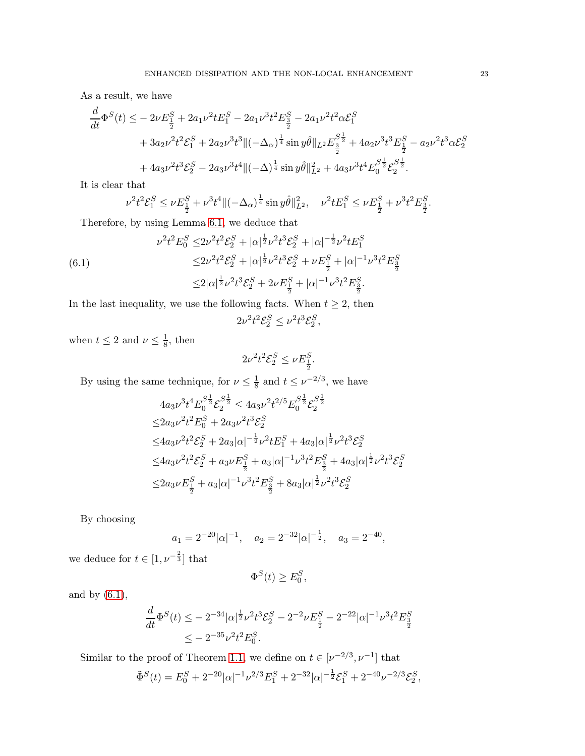As a result, we have

$$
\frac{d}{dt}\Phi^{S}(t) \leq -2\nu E_{\frac{1}{2}}^{S} + 2a_{1}\nu^{2}t E_{1}^{S} - 2a_{1}\nu^{3}t^{2} E_{\frac{3}{2}}^{S} - 2a_{1}\nu^{2}t^{2}\alpha \mathcal{E}_{1}^{S}
$$
\n
$$
+ 3a_{2}\nu^{2}t^{2}\mathcal{E}_{1}^{S} + 2a_{2}\nu^{3}t^{3}\|(-\Delta_{\alpha})^{\frac{1}{4}}\sin y\hat{\theta}\|_{L^{2}}E_{\frac{3}{2}}^{S^{\frac{1}{2}}} + 4a_{2}\nu^{3}t^{3} E_{\frac{1}{2}}^{S} - a_{2}\nu^{2}t^{3}\alpha \mathcal{E}_{2}^{S}
$$
\n
$$
+ 4a_{3}\nu^{2}t^{3}\mathcal{E}_{2}^{S} - 2a_{3}\nu^{3}t^{4}\|(-\Delta)^{\frac{1}{4}}\sin y\hat{\theta}\|_{L^{2}}^{2} + 4a_{3}\nu^{3}t^{4} E_{0}^{S^{\frac{1}{2}}} \mathcal{E}_{2}^{S^{\frac{1}{2}}}.
$$

It is clear that

$$
\nu^2 t^2 \mathcal{E}^S_1 \leq \nu E^S_{\frac{1}{2}} + \nu^3 t^4 \| (-\Delta_{\alpha})^{\frac{1}{4}} \sin y \hat{\theta} \|_{L^2}^2, \quad \nu^2 t E^S_1 \leq \nu E^S_{\frac{1}{2}} + \nu^3 t^2 E^S_{\frac{3}{2}}.
$$

Therefore, by using Lemma [6.1,](#page-20-0) we deduce that

<span id="page-22-0"></span>(6.1)  
\n
$$
\nu^{2}t^{2}E_{0}^{S} \leq 2\nu^{2}t^{2}\mathcal{E}_{2}^{S} + |\alpha|^{\frac{1}{2}}\nu^{2}t^{3}\mathcal{E}_{2}^{S} + |\alpha|^{-\frac{1}{2}}\nu^{2}tE_{1}^{S}
$$
\n
$$
\leq 2\nu^{2}t^{2}\mathcal{E}_{2}^{S} + |\alpha|^{\frac{1}{2}}\nu^{2}t^{3}\mathcal{E}_{2}^{S} + \nu E_{\frac{1}{2}}^{S} + |\alpha|^{-1}\nu^{3}t^{2}E_{\frac{3}{2}}^{S}
$$
\n
$$
\leq 2|\alpha|^{\frac{1}{2}}\nu^{2}t^{3}\mathcal{E}_{2}^{S} + 2\nu E_{\frac{1}{2}}^{S} + |\alpha|^{-1}\nu^{3}t^{2}E_{\frac{3}{2}}^{S}.
$$

In the last inequality, we use the following facts. When  $t \geq 2$ , then

 $2\nu^2 t^2 \mathcal{E}_2^S \leq \nu^2 t^3 \mathcal{E}_2^S,$ 

when  $t \leq 2$  and  $\nu \leq \frac{1}{8}$  $\frac{1}{8}$ , then

$$
2\nu^2t^2\mathcal{E}_2^S\leq \nu E_{\frac{1}{2}}^S.
$$

By using the same technique, for  $\nu \leq \frac{1}{8}$  $\frac{1}{8}$  and  $t \leq \nu^{-2/3}$ , we have

$$
4a_3\nu^3 t^4 E_0^{S^{\frac{1}{2}}} \mathcal{E}_2^{S^{\frac{1}{2}}} \le 4a_3\nu^2 t^{2/5} E_0^{S^{\frac{1}{2}}} \mathcal{E}_2^{S^{\frac{1}{2}}}
$$
  
\n
$$
\le 2a_3\nu^2 t^2 E_0^S + 2a_3\nu^2 t^3 \mathcal{E}_2^S
$$
  
\n
$$
\le 4a_3\nu^2 t^2 \mathcal{E}_2^S + 2a_3 |\alpha|^{-\frac{1}{2}} \nu^2 t E_1^S + 4a_3 |\alpha|^{\frac{1}{2}} \nu^2 t^3 \mathcal{E}_2^S
$$
  
\n
$$
\le 4a_3\nu^2 t^2 \mathcal{E}_2^S + a_3\nu E_{\frac{1}{2}}^S + a_3 |\alpha|^{-1} \nu^3 t^2 E_{\frac{3}{2}}^S + 4a_3 |\alpha|^{\frac{1}{2}} \nu^2 t^3 \mathcal{E}_2^S
$$
  
\n
$$
\le 2a_3\nu E_{\frac{1}{2}}^S + a_3 |\alpha|^{-1} \nu^3 t^2 E_{\frac{3}{2}}^S + 8a_3 |\alpha|^{\frac{1}{2}} \nu^2 t^3 \mathcal{E}_2^S
$$

By choosing

$$
a_1 = 2^{-20} |\alpha|^{-1}, \quad a_2 = 2^{-32} |\alpha|^{-\frac{1}{2}}, \quad a_3 = 2^{-40},
$$

we deduce for  $t \in [1, \nu^{-\frac{2}{3}}]$  that

$$
\Phi^S(t) \ge E_0^S,
$$

and by  $(6.1)$ ,

$$
\frac{d}{dt}\Phi^S(t) \le -2^{-34}|\alpha|^{\frac{1}{2}}\nu^2 t^3 \mathcal{E}_2^S - 2^{-2}\nu E_{\frac{1}{2}}^S - 2^{-22}|\alpha|^{-1}\nu^3 t^2 E_{\frac{3}{2}}^S
$$
  

$$
\le -2^{-35}\nu^2 t^2 E_0^S.
$$

Similar to the proof of Theorem [1.1,](#page-1-0) we define on  $t \in [\nu^{-2/3}, \nu^{-1}]$  that

$$
\tilde{\Phi}^{S}(t) = E_0^{S} + 2^{-20} |\alpha|^{-1} \nu^{2/3} E_1^{S} + 2^{-32} |\alpha|^{-\frac{1}{2}} \mathcal{E}_1^{S} + 2^{-40} \nu^{-2/3} \mathcal{E}_2^{S},
$$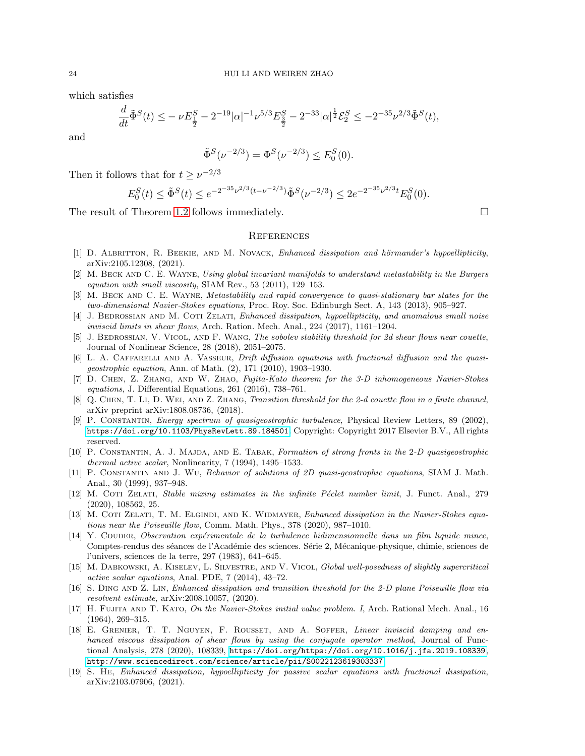which satisfies

$$
\frac{d}{dt}\tilde{\Phi}^S(t) \leq -\nu E_{\frac{1}{2}}^S - 2^{-19}|\alpha|^{-1}\nu^{5/3} E_{\frac{3}{2}}^S - 2^{-33}|\alpha|^{\frac{1}{2}} \mathcal{E}_2^S \leq -2^{-35}\nu^{2/3}\tilde{\Phi}^S(t),
$$

and

$$
\tilde{\Phi}^S(\nu^{-2/3}) = \Phi^S(\nu^{-2/3}) \le E_0^S(0).
$$

Then it follows that for  $t \geq \nu^{-2/3}$ 

$$
E_0^S(t) \le \tilde{\Phi}^S(t) \le e^{-2^{-35}\nu^{2/3}(t-\nu^{-2/3})}\tilde{\Phi}^S(\nu^{-2/3}) \le 2e^{-2^{-35}\nu^{2/3}t}E_0^S(0).
$$

The result of Theorem [1.2](#page-1-1) follows immediately.

#### **REFERENCES**

- <span id="page-23-8"></span>[1] D. ALBRITTON, R. BEEKIE, AND M. NOVACK, *Enhanced dissipation and hörmander's hypoellipticity*, arXiv:2105.12308, (2021).
- <span id="page-23-7"></span>[2] M. Beck and C. E. Wayne, Using global invariant manifolds to understand metastability in the Burgers equation with small viscosity, SIAM Rev., 53 (2011), 129–153.
- <span id="page-23-5"></span>[3] M. BECK AND C. E. WAYNE, Metastability and rapid convergence to quasi-stationary bar states for the two-dimensional Navier-Stokes equations, Proc. Roy. Soc. Edinburgh Sect. A, 143 (2013), 905–927.
- <span id="page-23-9"></span>[4] J. BEDROSSIAN AND M. COTI ZELATI, Enhanced dissipation, hypoellipticity, and anomalous small noise inviscid limits in shear flows, Arch. Ration. Mech. Anal., 224 (2017), 1161–1204.
- <span id="page-23-12"></span>[5] J. BEDROSSIAN, V. VICOL, AND F. WANG, The sobolev stability threshold for 2d shear flows near couette, Journal of Nonlinear Science, 28 (2018), 2051–2075.
- <span id="page-23-2"></span>[6] L. A. CAFFARELLI AND A. VASSEUR, *Drift diffusion equations with fractional diffusion and the quasi*geostrophic equation, Ann. of Math. (2), 171 (2010), 1903–1930.
- <span id="page-23-17"></span>[7] D. Chen, Z. Zhang, and W. Zhao, Fujita-Kato theorem for the 3-D inhomogeneous Navier-Stokes equations, J. Differential Equations, 261 (2016), 738–761.
- <span id="page-23-13"></span>[8] Q. CHEN, T. LI, D. WEI, AND Z. ZHANG, Transition threshold for the 2-d couette flow in a finite channel, arXiv preprint arXiv:1808.08736, (2018).
- <span id="page-23-4"></span>[9] P. Constantin, Energy spectrum of quasigeostrophic turbulence, Physical Review Letters, 89 (2002), <https://doi.org/10.1103/PhysRevLett.89.184501>. Copyright: Copyright 2017 Elsevier B.V., All rights reserved.
- <span id="page-23-0"></span>[10] P. CONSTANTIN, A. J. MAJDA, AND E. TABAK, Formation of strong fronts in the 2-D quasigeostrophic thermal active scalar, Nonlinearity, 7 (1994), 1495–1533.
- <span id="page-23-1"></span>[11] P. Constantin and J. Wu, Behavior of solutions of 2D quasi-geostrophic equations, SIAM J. Math. Anal., 30 (1999), 937–948.
- <span id="page-23-10"></span>[12] M. COTI ZELATI, Stable mixing estimates in the infinite Péclet number limit, J. Funct. Anal., 279 (2020), 108562, 25.
- <span id="page-23-14"></span>[13] M. COTI ZELATI, T. M. ELGINDI, AND K. WIDMAYER, Enhanced dissipation in the Navier-Stokes equations near the Poiseuille flow, Comm. Math. Phys., 378 (2020), 987–1010.
- <span id="page-23-6"></span>[14] Y. COUDER, Observation expérimentale de la turbulence bidimensionnelle dans un film liquide mince, Comptes-rendus des séances de l'Académie des sciences. Série 2, Mécanique-physique, chimie, sciences de l'univers, sciences de la terre, 297 (1983), 641–645.
- <span id="page-23-3"></span>[15] M. DABKOWSKI, A. KISELEV, L. SILVESTRE, AND V. VICOL, Global well-posedness of slightly supercritical active scalar equations, Anal. PDE, 7 (2014), 43–72.
- <span id="page-23-15"></span>[16] S. DING AND Z. LIN, Enhanced dissipation and transition threshold for the 2-D plane Poiseuille flow via resolvent estimate, arXiv:2008.10057, (2020).
- <span id="page-23-18"></span>[17] H. FUJITA AND T. KATO, On the Navier-Stokes initial value problem. I, Arch. Rational Mech. Anal., 16 (1964), 269–315.
- <span id="page-23-16"></span>[18] E. Grenier, T. T. Nguyen, F. Rousset, and A. Soffer, Linear inviscid damping and enhanced viscous dissipation of shear flows by using the conjugate operator method, Journal of Functional Analysis, 278 (2020), 108339, <https://doi.org/https://doi.org/10.1016/j.jfa.2019.108339>, <http://www.sciencedirect.com/science/article/pii/S0022123619303337>.
- <span id="page-23-11"></span>[19] S. He, Enhanced dissipation, hypoellipticity for passive scalar equations with fractional dissipation, arXiv:2103.07906, (2021).